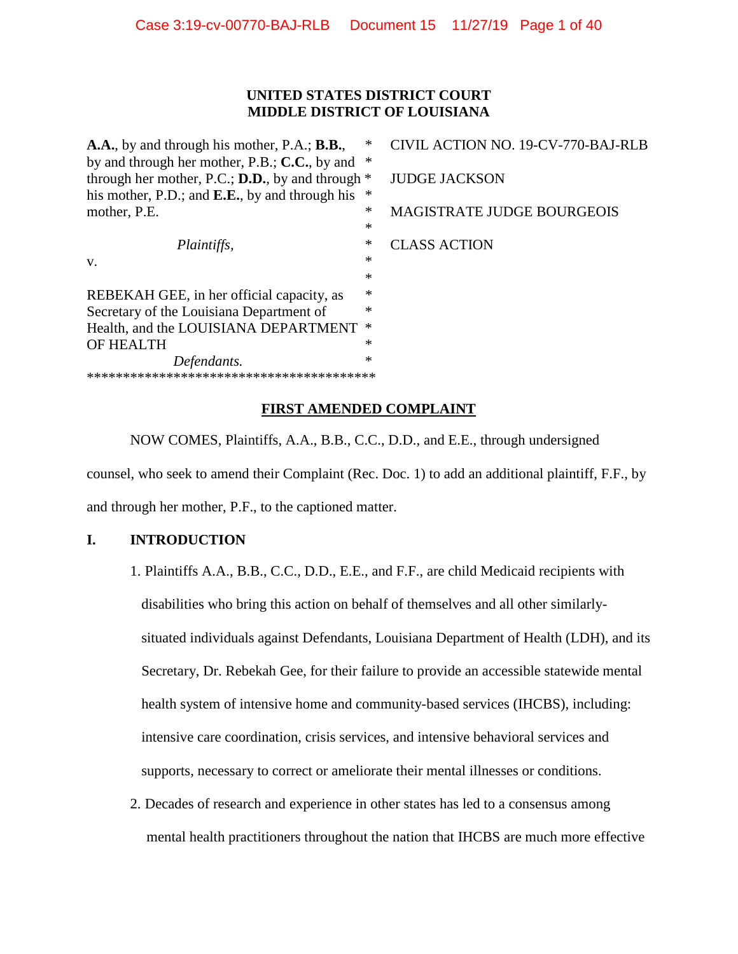# **UNITED STATES DISTRICT COURT MIDDLE DISTRICT OF LOUISIANA**

**A.A.**, by and through his mother, P.A.; **B.B.**, \* CIVIL ACTION NO. 19-CV-770-BAJ-RLB by and through her mother, P.B.; **C.C.**, by and \* through her mother, P.C.; **D.D.**, by and through \* JUDGE JACKSON his mother, P.D.; and **E.E.**, by and through his \* mother, P.E.  $*$  MAGISTRATE JUDGE BOURGEOIS \* *Plaintiffs,*  $*$  **CLASS ACTION**  $v.$  \* \* REBEKAH GEE, in her official capacity, as  $*$ Secretary of the Louisiana Department of Health, and the LOUISIANA DEPARTMENT \* OF HEALTH *Defendants.* \* \*\*\*\*\*\*\*\*\*\*\*\*\*\*\*\*\*\*\*\*\*\*\*\*\*\*\*\*\*\*\*\*\*\*\*\*\*\*\*\*

# **FIRST AMENDED COMPLAINT**

NOW COMES, Plaintiffs, A.A., B.B., C.C., D.D., and E.E., through undersigned counsel, who seek to amend their Complaint (Rec. Doc. 1) to add an additional plaintiff, F.F., by

and through her mother, P.F., to the captioned matter.

# **I. INTRODUCTION**

1. Plaintiffs A.A., B.B., C.C., D.D., E.E., and F.F., are child Medicaid recipients with disabilities who bring this action on behalf of themselves and all other similarlysituated individuals against Defendants, Louisiana Department of Health (LDH), and its Secretary, Dr. Rebekah Gee, for their failure to provide an accessible statewide mental health system of intensive home and community-based services (IHCBS), including: intensive care coordination, crisis services, and intensive behavioral services and supports, necessary to correct or ameliorate their mental illnesses or conditions.

2. Decades of research and experience in other states has led to a consensus among mental health practitioners throughout the nation that IHCBS are much more effective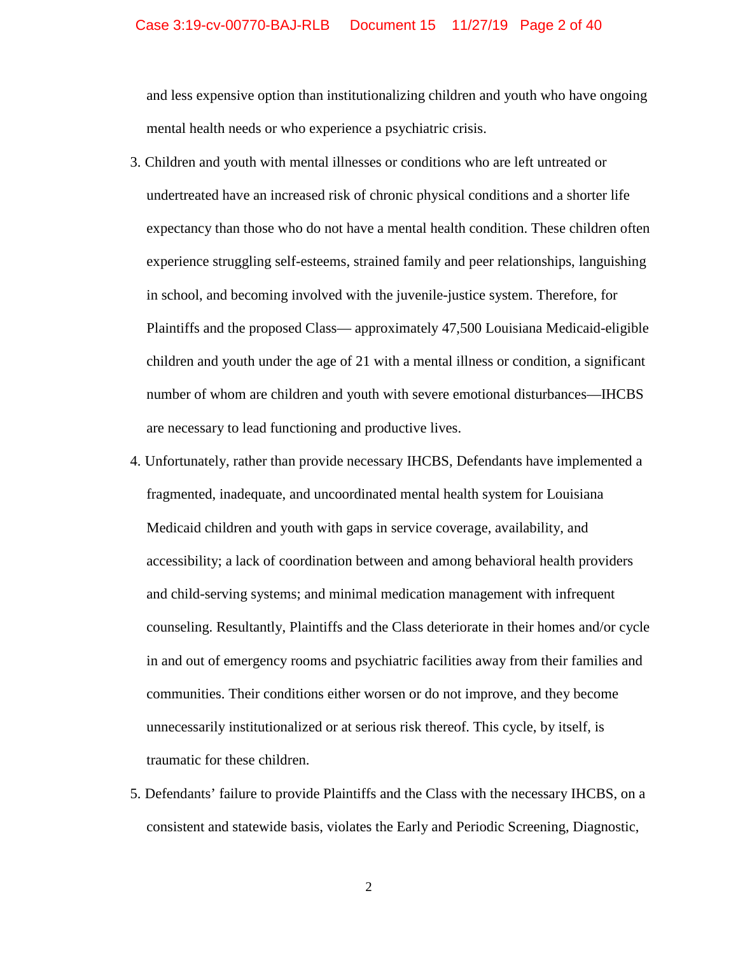#### Case 3:19-cv-00770-BAJ-RLB Document 15 11/27/19 Page 2 of 40

and less expensive option than institutionalizing children and youth who have ongoing mental health needs or who experience a psychiatric crisis.

- 3. Children and youth with mental illnesses or conditions who are left untreated or undertreated have an increased risk of chronic physical conditions and a shorter life expectancy than those who do not have a mental health condition. These children often experience struggling self-esteems, strained family and peer relationships, languishing in school, and becoming involved with the juvenile-justice system. Therefore, for Plaintiffs and the proposed Class— approximately 47,500 Louisiana Medicaid-eligible children and youth under the age of 21 with a mental illness or condition, a significant number of whom are children and youth with severe emotional disturbances—IHCBS are necessary to lead functioning and productive lives.
- 4. Unfortunately, rather than provide necessary IHCBS, Defendants have implemented a fragmented, inadequate, and uncoordinated mental health system for Louisiana Medicaid children and youth with gaps in service coverage, availability, and accessibility; a lack of coordination between and among behavioral health providers and child-serving systems; and minimal medication management with infrequent counseling. Resultantly, Plaintiffs and the Class deteriorate in their homes and/or cycle in and out of emergency rooms and psychiatric facilities away from their families and communities. Their conditions either worsen or do not improve, and they become unnecessarily institutionalized or at serious risk thereof. This cycle, by itself, is traumatic for these children.
- 5. Defendants' failure to provide Plaintiffs and the Class with the necessary IHCBS, on a consistent and statewide basis, violates the Early and Periodic Screening, Diagnostic,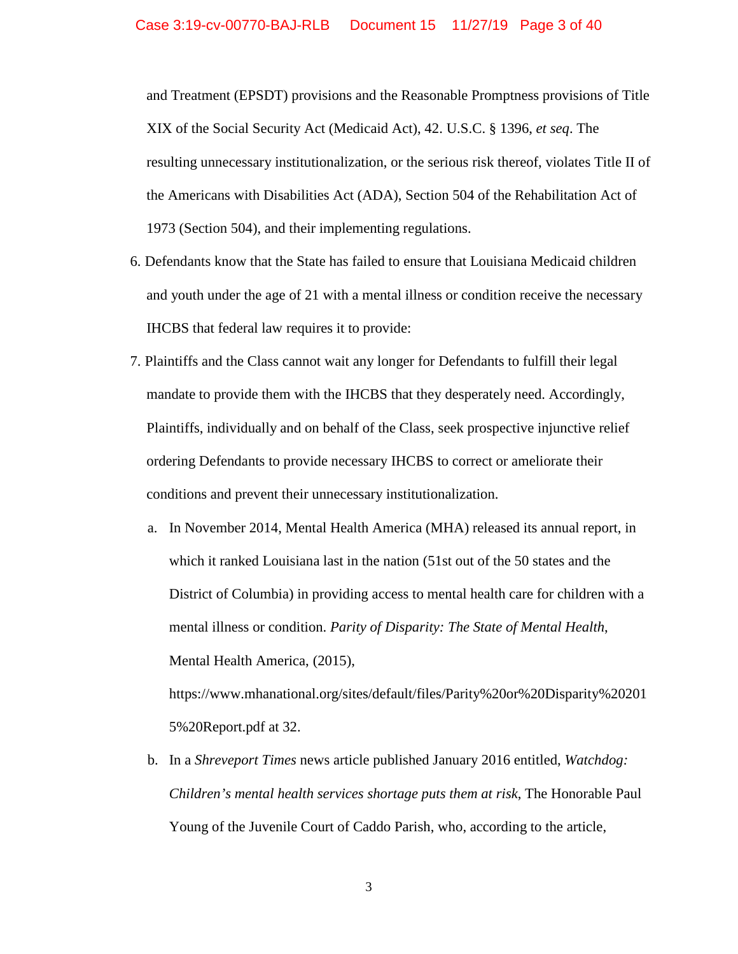and Treatment (EPSDT) provisions and the Reasonable Promptness provisions of Title XIX of the Social Security Act (Medicaid Act), 42. U.S.C. § 1396, *et seq*. The resulting unnecessary institutionalization, or the serious risk thereof, violates Title II of the Americans with Disabilities Act (ADA), Section 504 of the Rehabilitation Act of 1973 (Section 504), and their implementing regulations.

- 6. Defendants know that the State has failed to ensure that Louisiana Medicaid children and youth under the age of 21 with a mental illness or condition receive the necessary IHCBS that federal law requires it to provide:
- 7. Plaintiffs and the Class cannot wait any longer for Defendants to fulfill their legal mandate to provide them with the IHCBS that they desperately need. Accordingly, Plaintiffs, individually and on behalf of the Class, seek prospective injunctive relief ordering Defendants to provide necessary IHCBS to correct or ameliorate their conditions and prevent their unnecessary institutionalization.
	- a. In November 2014, Mental Health America (MHA) released its annual report, in which it ranked Louisiana last in the nation (51st out of the 50 states and the District of Columbia) in providing access to mental health care for children with a mental illness or condition. *Parity of Disparity: The State of Mental Health*, Mental Health America, (2015),

[https://www.mhanational.org/sites/default/files/Parity%20or%20Disparity%20201](https://www.mhanational.org/sites/default/files/Parity%20or%20Disparity%202015%20Report.pdf) [5%20Report.pdf](https://www.mhanational.org/sites/default/files/Parity%20or%20Disparity%202015%20Report.pdf) at 32.

b. In a *Shreveport Times* news article published January 2016 entitled, *Watchdog: Children's mental health services shortage puts them at risk*, The Honorable Paul Young of the Juvenile Court of Caddo Parish, who, according to the article,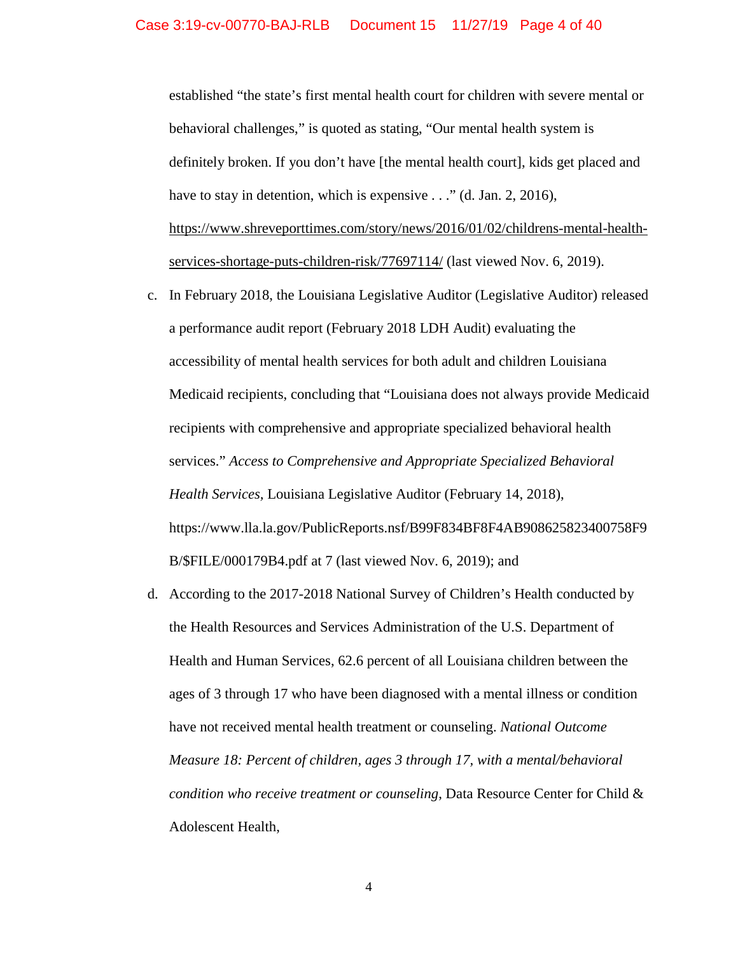established "the state's first mental health court for children with severe mental or behavioral challenges," is quoted as stating, "Our mental health system is definitely broken. If you don't have [the mental health court], kids get placed and have to stay in detention, which is expensive . . ." (d. Jan. 2, 2016), [https://www.shreveporttimes.com/story/news/2016/01/02/childrens-mental-health](https://www.shreveporttimes.com/story/news/2016/01/02/childrens-mental-health-services-shortage-puts-children-risk/77697114/)[services-shortage-puts-children-risk/77697114/](https://www.shreveporttimes.com/story/news/2016/01/02/childrens-mental-health-services-shortage-puts-children-risk/77697114/) (last viewed Nov. 6, 2019).

- c. In February 2018, the Louisiana Legislative Auditor (Legislative Auditor) released a performance audit report (February 2018 LDH Audit) evaluating the accessibility of mental health services for both adult and children Louisiana Medicaid recipients, concluding that "Louisiana does not always provide Medicaid recipients with comprehensive and appropriate specialized behavioral health services." *Access to Comprehensive and Appropriate Specialized Behavioral Health Services,* Louisiana Legislative Auditor (February 14, 2018), [https://www.lla.la.gov/PublicReports.nsf/B99F834BF8F4AB908625823400758F9](https://www.lla.la.gov/PublicReports.nsf/B99F834BF8F4AB908625823400758F9B/$FILE/000179B4.pdf) [B/\\$FILE/000179B4.pdf](https://www.lla.la.gov/PublicReports.nsf/B99F834BF8F4AB908625823400758F9B/$FILE/000179B4.pdf) at 7 (last viewed Nov. 6, 2019); and
- d. According to the 2017-2018 National Survey of Children's Health conducted by the Health Resources and Services Administration of the U.S. Department of Health and Human Services, 62.6 percent of all Louisiana children between the ages of 3 through 17 who have been diagnosed with a mental illness or condition have not received mental health treatment or counseling. *National Outcome Measure 18: Percent of children, ages 3 through 17, with a mental/behavioral condition who receive treatment or counseling*, Data Resource Center for Child & Adolescent Health,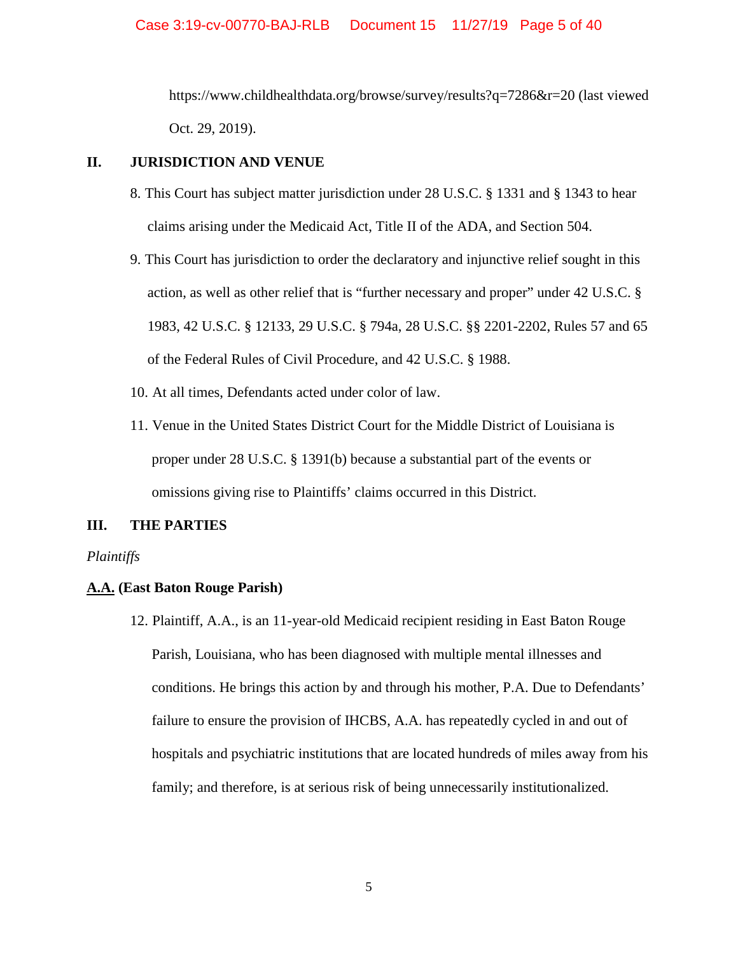<https://www.childhealthdata.org/browse/survey/results?q=7286&r=20> (last viewed Oct. 29, 2019).

## **II. JURISDICTION AND VENUE**

- 8. This Court has subject matter jurisdiction under [28 U.S.C. § 1331](https://www.law.cornell.edu/uscode/text/28/1331) and § 1343 to hear claims arising under the Medicaid Act, Title II of the ADA, and Section 504.
- 9. This Court has jurisdiction to order the declaratory and injunctive relief sought in this action, as well as other relief that is "further necessary and proper" under 42 U.S.C. § 1983, 42 U.S.C. § 12133, 29 U.S.C. § 794a, [28 U.S.C. §§ 2201-](https://www.law.cornell.edu/uscode/text/28/2201)[2202,](https://www.law.cornell.edu/uscode/text/28/2202) Rules 57 and 65 of the Federal Rules of Civil Procedure, and 42 U.S.C. § 1988.
- 10. At all times, Defendants acted under color of law.
- 11. Venue in the United States District Court for the Middle District of Louisiana is proper under 28 U.S.C. § 1391(b) because a substantial part of the events or omissions giving rise to Plaintiffs' claims occurred in this District.

# **III. THE PARTIES**

#### *Plaintiffs*

# **A.A. (East Baton Rouge Parish)**

12. Plaintiff, A.A., is an 11-year-old Medicaid recipient residing in East Baton Rouge Parish, Louisiana, who has been diagnosed with multiple mental illnesses and conditions. He brings this action by and through his mother, P.A. Due to Defendants' failure to ensure the provision of IHCBS, A.A. has repeatedly cycled in and out of hospitals and psychiatric institutions that are located hundreds of miles away from his family; and therefore, is at serious risk of being unnecessarily institutionalized.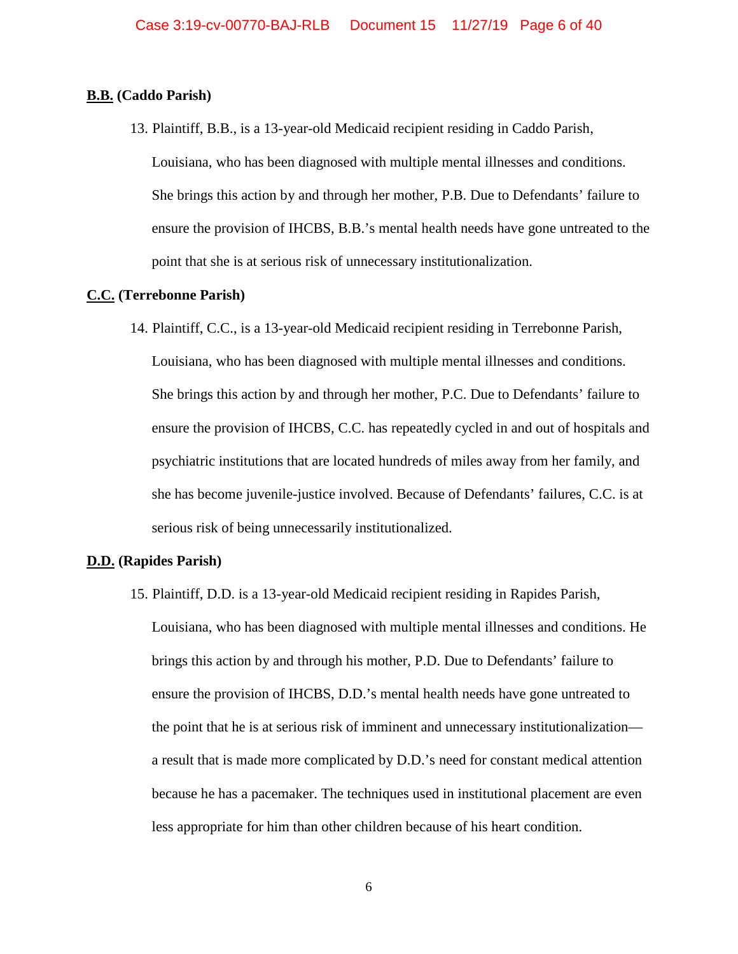### **B.B. (Caddo Parish)**

13. Plaintiff, B.B., is a 13-year-old Medicaid recipient residing in Caddo Parish, Louisiana, who has been diagnosed with multiple mental illnesses and conditions. She brings this action by and through her mother, P.B. Due to Defendants' failure to ensure the provision of IHCBS, B.B.'s mental health needs have gone untreated to the point that she is at serious risk of unnecessary institutionalization.

## **C.C. (Terrebonne Parish)**

14. Plaintiff, C.C., is a 13-year-old Medicaid recipient residing in Terrebonne Parish, Louisiana, who has been diagnosed with multiple mental illnesses and conditions. She brings this action by and through her mother, P.C. Due to Defendants' failure to ensure the provision of IHCBS, C.C. has repeatedly cycled in and out of hospitals and psychiatric institutions that are located hundreds of miles away from her family, and she has become juvenile-justice involved. Because of Defendants' failures, C.C. is at serious risk of being unnecessarily institutionalized.

## **D.D. (Rapides Parish)**

15. Plaintiff, D.D. is a 13-year-old Medicaid recipient residing in Rapides Parish, Louisiana, who has been diagnosed with multiple mental illnesses and conditions. He brings this action by and through his mother, P.D. Due to Defendants' failure to ensure the provision of IHCBS, D.D.'s mental health needs have gone untreated to the point that he is at serious risk of imminent and unnecessary institutionalization a result that is made more complicated by D.D.'s need for constant medical attention because he has a pacemaker. The techniques used in institutional placement are even less appropriate for him than other children because of his heart condition.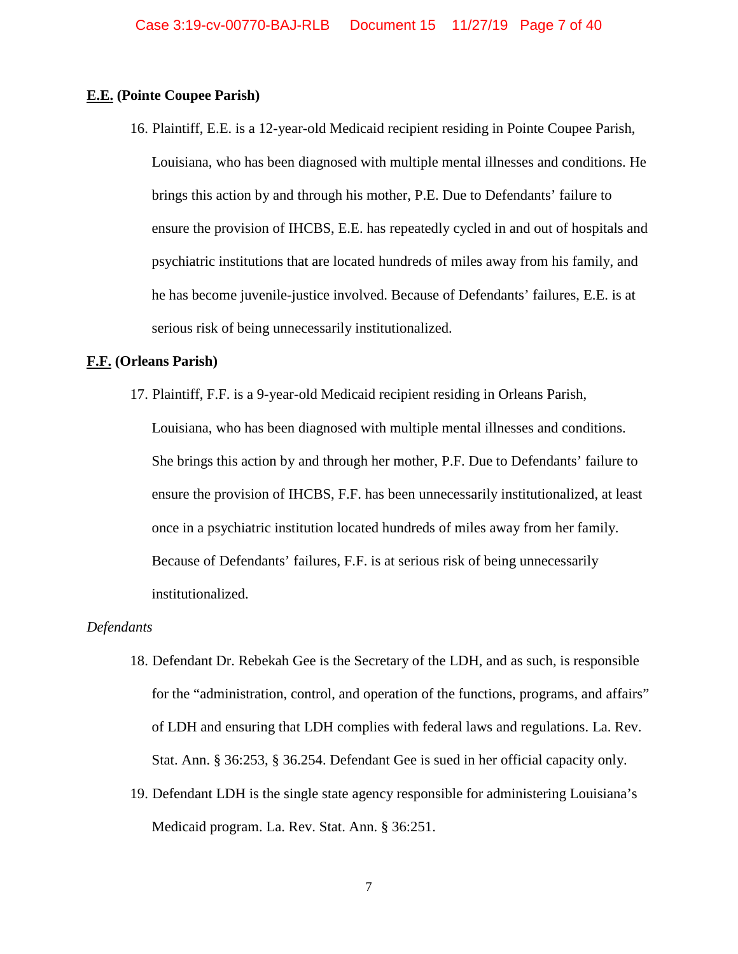### **E.E. (Pointe Coupee Parish)**

16. Plaintiff, E.E. is a 12-year-old Medicaid recipient residing in Pointe Coupee Parish, Louisiana, who has been diagnosed with multiple mental illnesses and conditions. He brings this action by and through his mother, P.E. Due to Defendants' failure to ensure the provision of IHCBS, E.E. has repeatedly cycled in and out of hospitals and psychiatric institutions that are located hundreds of miles away from his family, and he has become juvenile-justice involved. Because of Defendants' failures, E.E. is at serious risk of being unnecessarily institutionalized.

#### **F.F. (Orleans Parish)**

17. Plaintiff, F.F. is a 9-year-old Medicaid recipient residing in Orleans Parish, Louisiana, who has been diagnosed with multiple mental illnesses and conditions. She brings this action by and through her mother, P.F. Due to Defendants' failure to ensure the provision of IHCBS, F.F. has been unnecessarily institutionalized, at least once in a psychiatric institution located hundreds of miles away from her family. Because of Defendants' failures, F.F. is at serious risk of being unnecessarily institutionalized.

#### *Defendants*

- 18. Defendant Dr. Rebekah Gee is the Secretary of the LDH, and as such, is responsible for the "administration, control, and operation of the functions, programs, and affairs" of LDH and ensuring that LDH complies with federal laws and regulations. La. Rev. Stat. Ann. § 36:253, § 36.254. Defendant Gee is sued in her official capacity only.
- 19. Defendant LDH is the single state agency responsible for administering Louisiana's Medicaid program. La. Rev. Stat. Ann. § 36:251.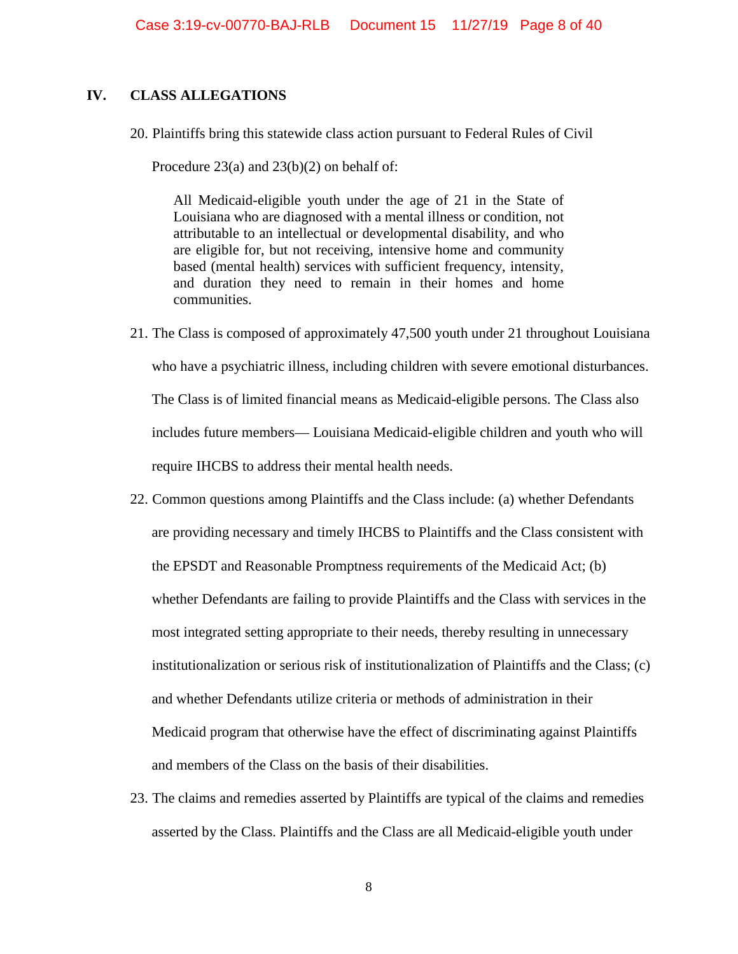## **IV. CLASS ALLEGATIONS**

20. Plaintiffs bring this statewide class action pursuant to Federal Rules of Civil

Procedure 23(a) and 23(b)(2) on behalf of:

All Medicaid-eligible youth under the age of 21 in the State of Louisiana who are diagnosed with a mental illness or condition, not attributable to an intellectual or developmental disability, and who are eligible for, but not receiving, intensive home and community based (mental health) services with sufficient frequency, intensity, and duration they need to remain in their homes and home communities.

- 21. The Class is composed of approximately 47,500 youth under 21 throughout Louisiana who have a psychiatric illness, including children with severe emotional disturbances. The Class is of limited financial means as Medicaid-eligible persons. The Class also includes future members— Louisiana Medicaid-eligible children and youth who will require IHCBS to address their mental health needs.
- 22. Common questions among Plaintiffs and the Class include: (a) whether Defendants are providing necessary and timely IHCBS to Plaintiffs and the Class consistent with the EPSDT and Reasonable Promptness requirements of the Medicaid Act; (b) whether Defendants are failing to provide Plaintiffs and the Class with services in the most integrated setting appropriate to their needs, thereby resulting in unnecessary institutionalization or serious risk of institutionalization of Plaintiffs and the Class; (c) and whether Defendants utilize criteria or methods of administration in their Medicaid program that otherwise have the effect of discriminating against Plaintiffs and members of the Class on the basis of their disabilities.
- 23. The claims and remedies asserted by Plaintiffs are typical of the claims and remedies asserted by the Class. Plaintiffs and the Class are all Medicaid-eligible youth under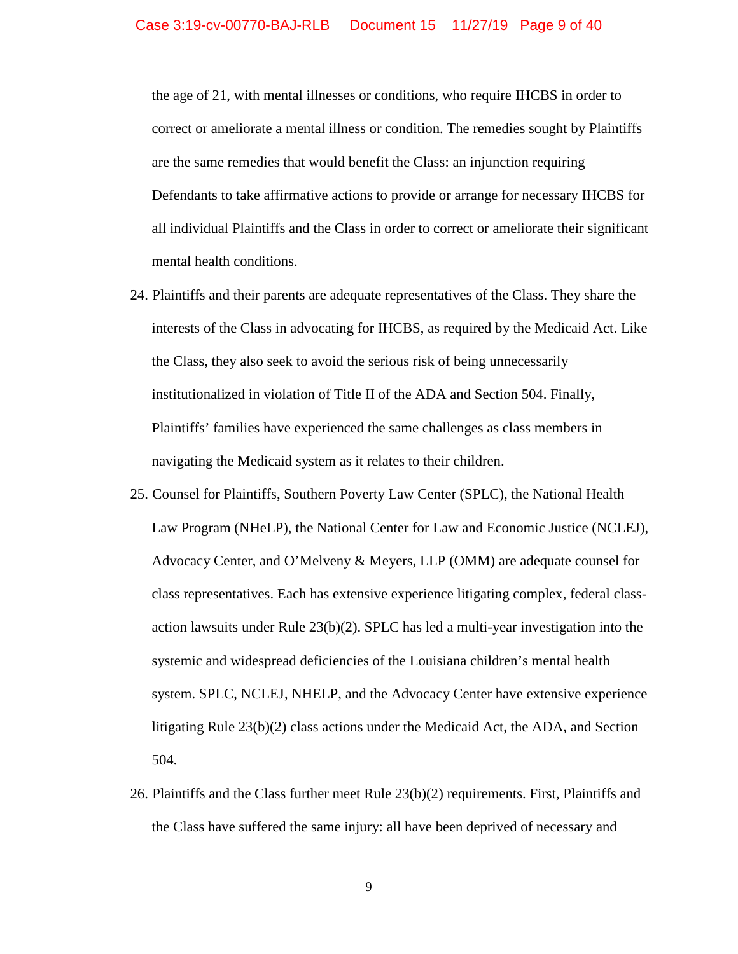the age of 21, with mental illnesses or conditions, who require IHCBS in order to correct or ameliorate a mental illness or condition. The remedies sought by Plaintiffs are the same remedies that would benefit the Class: an injunction requiring Defendants to take affirmative actions to provide or arrange for necessary IHCBS for all individual Plaintiffs and the Class in order to correct or ameliorate their significant mental health conditions.

- 24. Plaintiffs and their parents are adequate representatives of the Class. They share the interests of the Class in advocating for IHCBS, as required by the Medicaid Act. Like the Class, they also seek to avoid the serious risk of being unnecessarily institutionalized in violation of Title II of the ADA and Section 504. Finally, Plaintiffs' families have experienced the same challenges as class members in navigating the Medicaid system as it relates to their children.
- 25. Counsel for Plaintiffs, Southern Poverty Law Center (SPLC), the National Health Law Program (NHeLP), the National Center for Law and Economic Justice (NCLEJ), Advocacy Center, and O'Melveny & Meyers, LLP (OMM) are adequate counsel for class representatives. Each has extensive experience litigating complex, federal classaction lawsuits under Rule 23(b)(2). SPLC has led a multi-year investigation into the systemic and widespread deficiencies of the Louisiana children's mental health system. SPLC, NCLEJ, NHELP, and the Advocacy Center have extensive experience litigating Rule 23(b)(2) class actions under the Medicaid Act, the ADA, and Section 504.
- 26. Plaintiffs and the Class further meet Rule 23(b)(2) requirements. First, Plaintiffs and the Class have suffered the same injury: all have been deprived of necessary and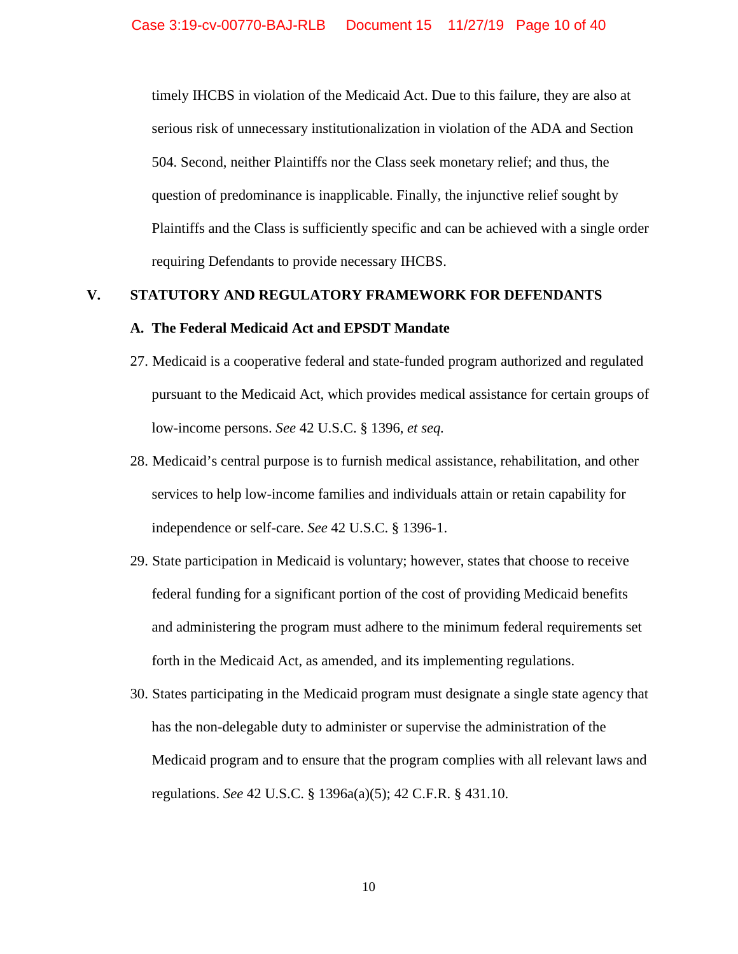timely IHCBS in violation of the Medicaid Act. Due to this failure, they are also at serious risk of unnecessary institutionalization in violation of the ADA and Section 504. Second, neither Plaintiffs nor the Class seek monetary relief; and thus, the question of predominance is inapplicable. Finally, the injunctive relief sought by Plaintiffs and the Class is sufficiently specific and can be achieved with a single order requiring Defendants to provide necessary IHCBS.

# **V. STATUTORY AND REGULATORY FRAMEWORK FOR DEFENDANTS**

#### **A. The Federal Medicaid Act and EPSDT Mandate**

- 27. Medicaid is a cooperative federal and state-funded program authorized and regulated pursuant to the Medicaid Act, which provides medical assistance for certain groups of low-income persons. *See* 42 U.S.C. § 1396, *et seq.*
- 28. Medicaid's central purpose is to furnish medical assistance, rehabilitation, and other services to help low-income families and individuals attain or retain capability for independence or self-care. *See* 42 U.S.C. § 1396-1.
- 29. State participation in Medicaid is voluntary; however, states that choose to receive federal funding for a significant portion of the cost of providing Medicaid benefits and administering the program must adhere to the minimum federal requirements set forth in the Medicaid Act, as amended, and its implementing regulations.
- 30. States participating in the Medicaid program must designate a single state agency that has the non-delegable duty to administer or supervise the administration of the Medicaid program and to ensure that the program complies with all relevant laws and regulations. *See* 42 U.S.C. § 1396a(a)(5); 42 C.F.R. § 431.10.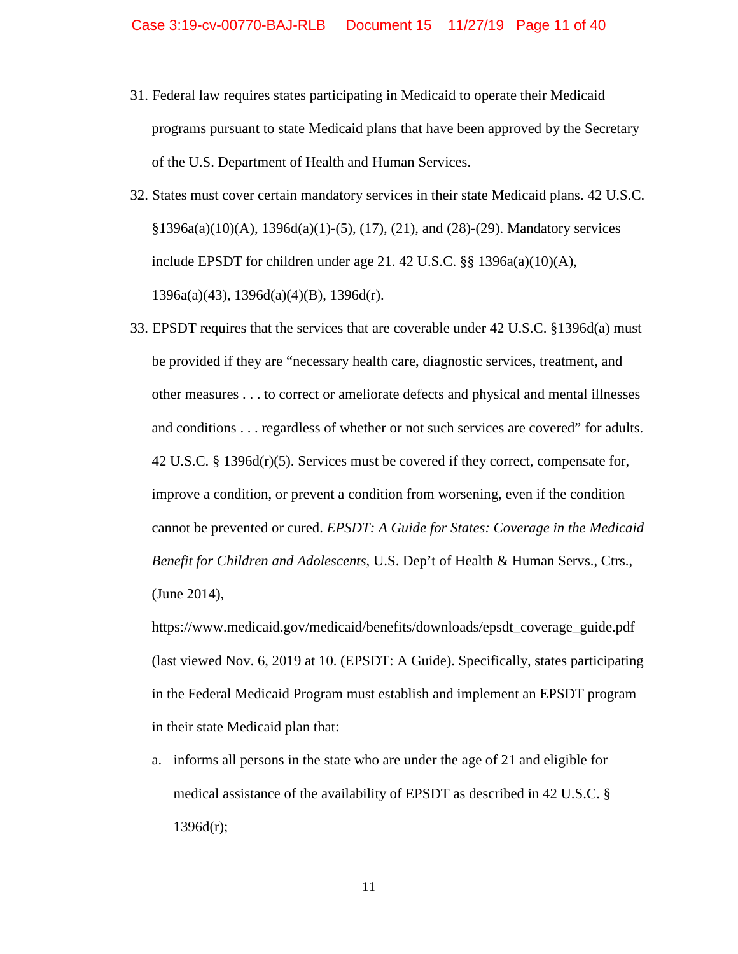- 31. Federal law requires states participating in Medicaid to operate their Medicaid programs pursuant to state Medicaid plans that have been approved by the Secretary of the U.S. Department of Health and Human Services.
- 32. States must cover certain mandatory services in their state Medicaid plans. 42 U.S.C.  $§1396a(a)(10)(A), 1396d(a)(1)-(5), (17), (21), and (28)-(29)$ . Mandatory services include EPSDT for children under age 21. 42 U.S.C. §§ 1396a(a)(10)(A), 1396a(a)(43), 1396d(a)(4)(B), 1396d(r).
- 33. EPSDT requires that the services that are coverable under 42 U.S.C. §1396d(a) must be provided if they are "necessary health care, diagnostic services, treatment, and other measures . . . to correct or ameliorate defects and physical and mental illnesses and conditions . . . regardless of whether or not such services are covered" for adults. 42 U.S.C. § 1396d(r)(5). Services must be covered if they correct, compensate for, improve a condition, or prevent a condition from worsening, even if the condition cannot be prevented or cured. *EPSDT: A Guide for States: Coverage in the Medicaid Benefit for Children and Adolescents*, U.S. Dep't of Health & Human Servs., Ctrs., (June 2014),

[https://www.medicaid.gov/medicaid/benefits/downloads/epsdt\\_coverage\\_guide.pdf](https://www.medicaid.gov/medicaid/benefits/downloads/epsdt_coverage_guide.pdf) (last viewed Nov. 6, 2019 at 10. (EPSDT: A Guide). Specifically, states participating in the Federal Medicaid Program must establish and implement an EPSDT program in their state Medicaid plan that:

a. informs all persons in the state who are under the age of 21 and eligible for medical assistance of the availability of EPSDT as described in 42 U.S.C. § 1396d(r);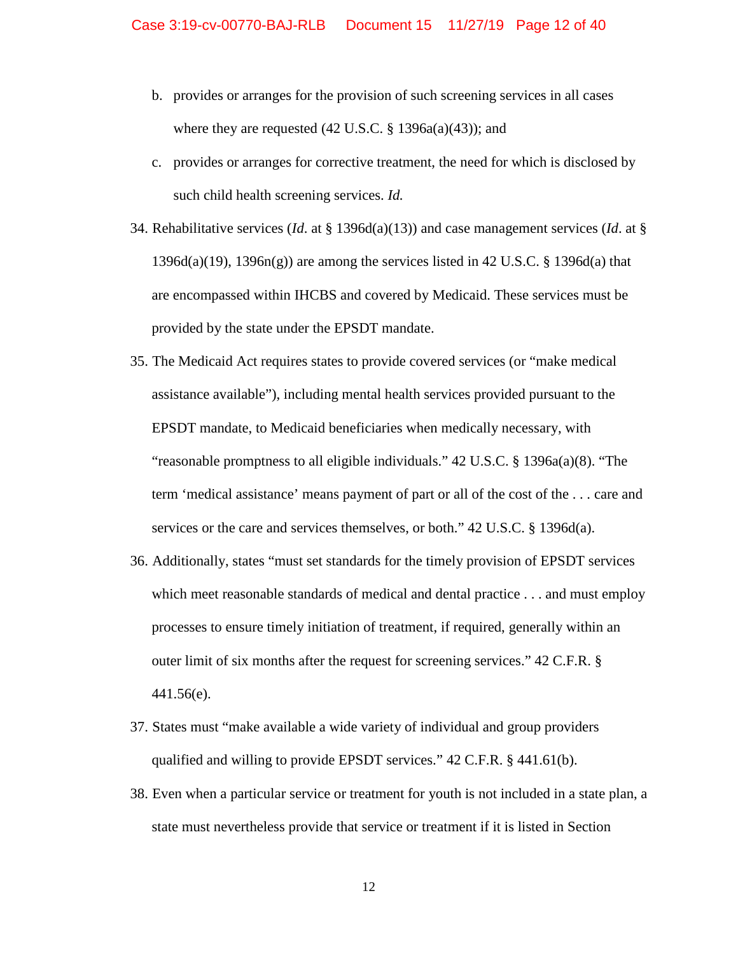- b. provides or arranges for the provision of such screening services in all cases where they are requested  $(42 \text{ U.S.C.} \text{ § } 1396a(a)(43))$ ; and
- c. provides or arranges for corrective treatment, the need for which is disclosed by such child health screening services. *Id.*
- 34. Rehabilitative services (*Id*. at § 1396d(a)(13)) and case management services (*Id*. at § 1396d(a)(19), 1396n(g)) are among the services listed in 42 U.S.C. § 1396d(a) that are encompassed within IHCBS and covered by Medicaid. These services must be provided by the state under the EPSDT mandate.
- 35. The Medicaid Act requires states to provide covered services (or "make medical assistance available"), including mental health services provided pursuant to the EPSDT mandate, to Medicaid beneficiaries when medically necessary, with "reasonable promptness to all eligible individuals." 42 U.S.C. § 1396a(a)(8). "The term 'medical assistance' means payment of part or all of the cost of the . . . care and services or the care and services themselves, or both." 42 U.S.C. § 1396d(a).
- 36. Additionally, states "must set standards for the timely provision of EPSDT services which meet reasonable standards of medical and dental practice . . . and must employ processes to ensure timely initiation of treatment, if required, generally within an outer limit of six months after the request for screening services." 42 C.F.R. § 441.56(e).
- 37. States must "make available a wide variety of individual and group providers qualified and willing to provide EPSDT services." 42 C.F.R. § 441.61(b).
- 38. Even when a particular service or treatment for youth is not included in a state plan, a state must nevertheless provide that service or treatment if it is listed in Section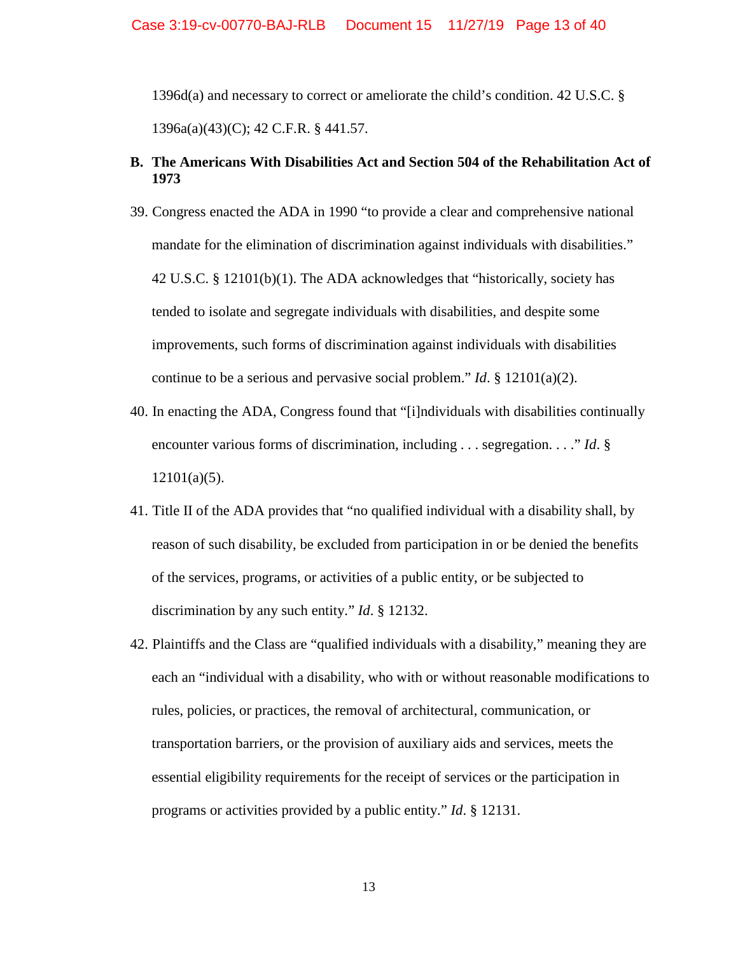1396d(a) and necessary to correct or ameliorate the child's condition. 42 U.S.C. § 1396a(a)(43)(C); 42 C.F.R. § 441.57.

# **B. The Americans With Disabilities Act and Section 504 of the Rehabilitation Act of 1973**

- 39. Congress enacted the ADA in 1990 "to provide a clear and comprehensive national mandate for the elimination of discrimination against individuals with disabilities." 42 U.S.C. § 12101(b)(1). The ADA acknowledges that "historically, society has tended to isolate and segregate individuals with disabilities, and despite some improvements, such forms of discrimination against individuals with disabilities continue to be a serious and pervasive social problem." *Id*. § 12101(a)(2).
- 40. In enacting the ADA, Congress found that "[i]ndividuals with disabilities continually encounter various forms of discrimination, including . . . segregation. . . ." *Id*. §  $12101(a)(5)$ .
- 41. Title II of the ADA provides that "no qualified individual with a disability shall, by reason of such disability, be excluded from participation in or be denied the benefits of the services, programs, or activities of a public entity, or be subjected to discrimination by any such entity." *Id*. § 12132.
- 42. Plaintiffs and the Class are "qualified individuals with a disability," meaning they are each an "individual with a disability, who with or without reasonable modifications to rules, policies, or practices, the removal of architectural, communication, or transportation barriers, or the provision of auxiliary aids and services, meets the essential eligibility requirements for the receipt of services or the participation in programs or activities provided by a public entity." *Id*. § 12131.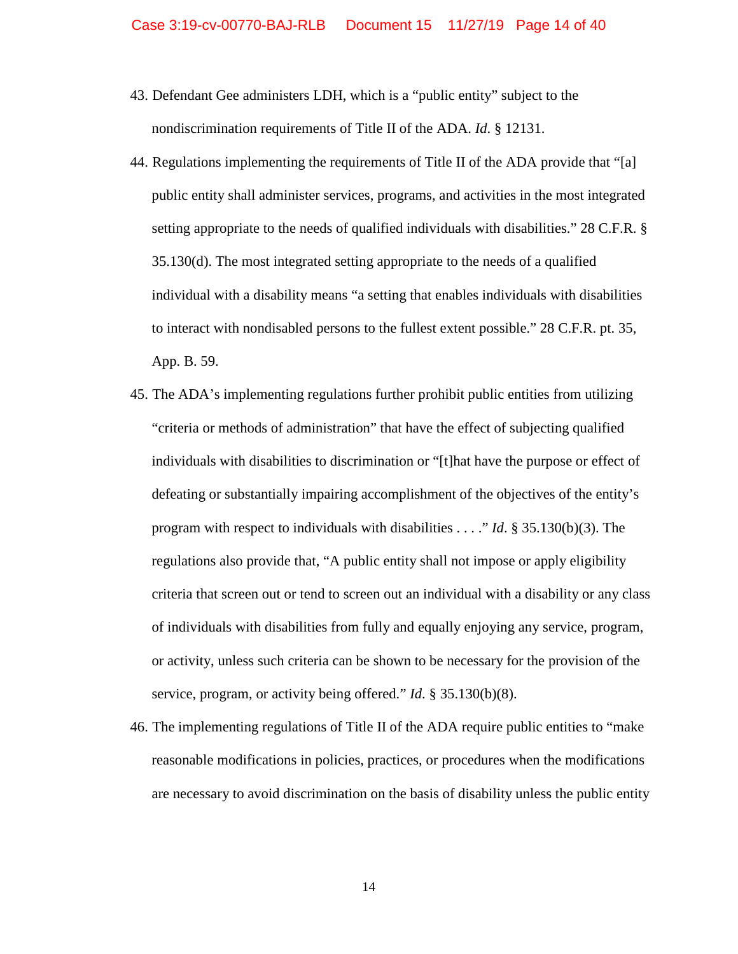- 43. Defendant Gee administers LDH, which is a "public entity" subject to the nondiscrimination requirements of Title II of the ADA. *Id*. § 12131.
- 44. Regulations implementing the requirements of Title II of the ADA provide that "[a] public entity shall administer services, programs, and activities in the most integrated setting appropriate to the needs of qualified individuals with disabilities." 28 C.F.R. § 35.130(d). The most integrated setting appropriate to the needs of a qualified individual with a disability means "a setting that enables individuals with disabilities to interact with nondisabled persons to the fullest extent possible." 28 C.F.R. pt. 35, App. B. 59.
- 45. The ADA's implementing regulations further prohibit public entities from utilizing "criteria or methods of administration" that have the effect of subjecting qualified individuals with disabilities to discrimination or "[t]hat have the purpose or effect of defeating or substantially impairing accomplishment of the objectives of the entity's program with respect to individuals with disabilities . . . ." *Id*. § 35.130(b)(3). The regulations also provide that, "A public entity shall not impose or apply eligibility criteria that screen out or tend to screen out an individual with a disability or any class of individuals with disabilities from fully and equally enjoying any service, program, or activity, unless such criteria can be shown to be necessary for the provision of the service, program, or activity being offered." *Id*. § 35.130(b)(8).
- 46. The implementing regulations of Title II of the ADA require public entities to "make reasonable modifications in policies, practices, or procedures when the modifications are necessary to avoid discrimination on the basis of disability unless the public entity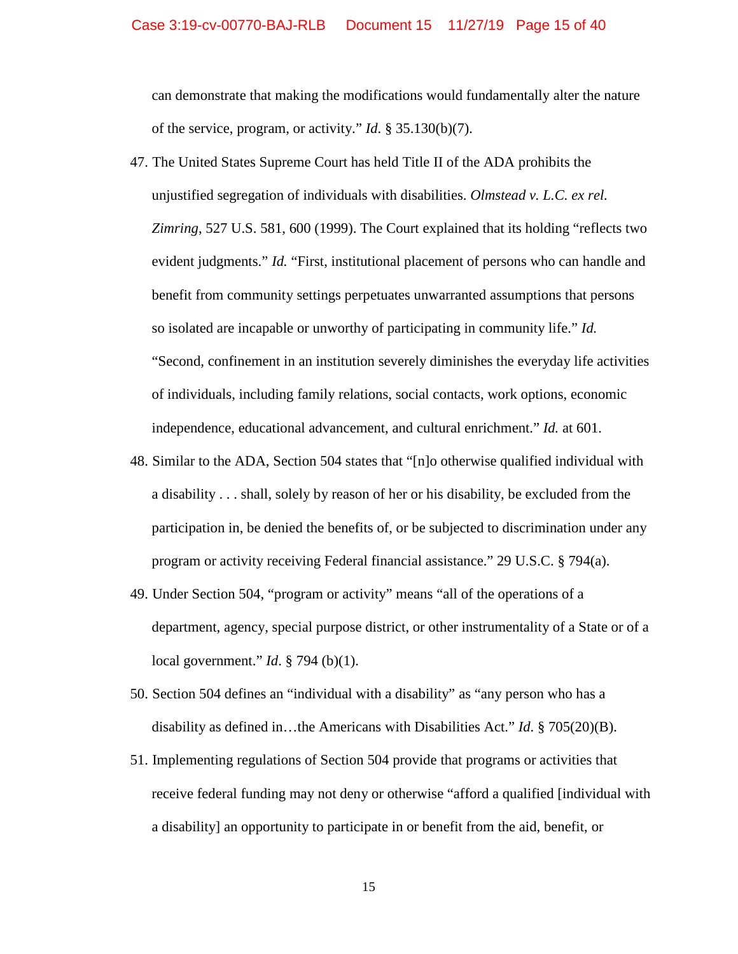can demonstrate that making the modifications would fundamentally alter the nature of the service, program, or activity." *Id*. § 35.130(b)(7).

- 47. The United States Supreme Court has held Title II of the ADA prohibits the unjustified segregation of individuals with disabilities. *Olmstead v. L.C. ex rel. Zimring*, 527 U.S. 581, 600 (1999). The Court explained that its holding "reflects two evident judgments." *Id.* "First, institutional placement of persons who can handle and benefit from community settings perpetuates unwarranted assumptions that persons so isolated are incapable or unworthy of participating in community life." *Id.* "Second, confinement in an institution severely diminishes the everyday life activities of individuals, including family relations, social contacts, work options, economic independence, educational advancement, and cultural enrichment." *Id.* at 601.
- 48. Similar to the ADA, Section 504 states that "[n]o otherwise qualified individual with a disability . . . shall, solely by reason of her or his disability, be excluded from the participation in, be denied the benefits of, or be subjected to discrimination under any program or activity receiving Federal financial assistance." 29 U.S.C. § 794(a).
- 49. Under Section 504, "program or activity" means "all of the operations of a department, agency, special purpose district, or other instrumentality of a State or of a local government." *Id*. § 794 (b)(1).
- 50. Section 504 defines an "individual with a disability" as "any person who has a disability as defined in…the Americans with Disabilities Act." *Id*. § 705(20)(B).
- 51. Implementing regulations of Section 504 provide that programs or activities that receive federal funding may not deny or otherwise "afford a qualified [individual with a disability] an opportunity to participate in or benefit from the aid, benefit, or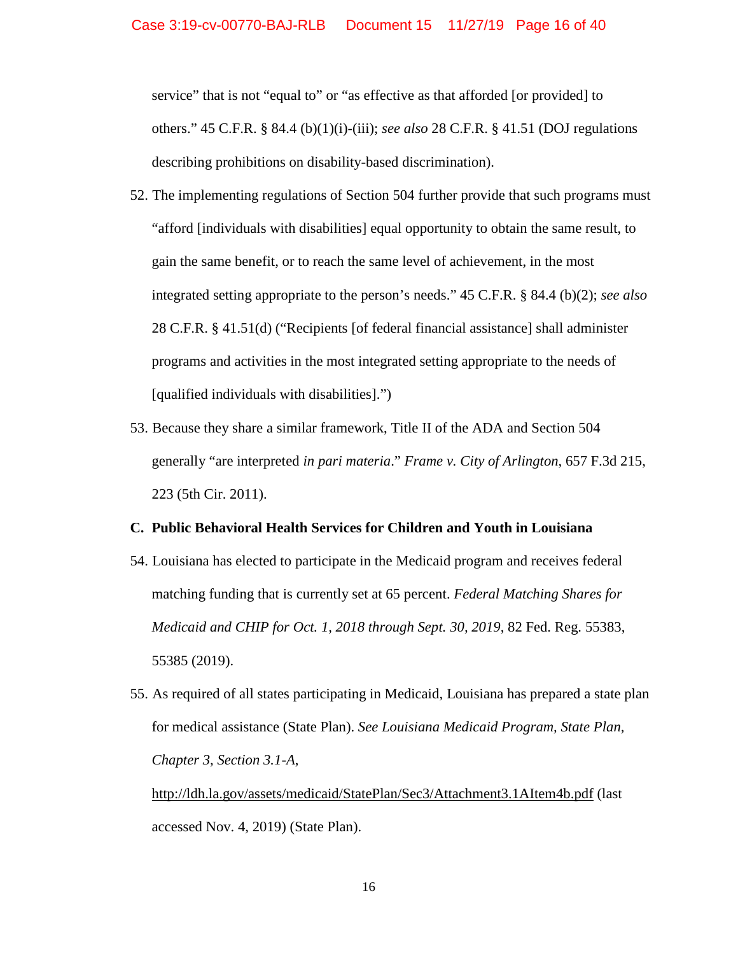service" that is not "equal to" or "as effective as that afforded [or provided] to others." 45 C.F.R. § 84.4 (b)(1)(i)-(iii); *see also* 28 C.F.R. § 41.51 (DOJ regulations describing prohibitions on disability-based discrimination).

- 52. The implementing regulations of Section 504 further provide that such programs must "afford [individuals with disabilities] equal opportunity to obtain the same result, to gain the same benefit, or to reach the same level of achievement, in the most integrated setting appropriate to the person's needs." 45 C.F.R. § 84.4 (b)(2); *see also* 28 C.F.R. § 41.51(d) ("Recipients [of federal financial assistance] shall administer programs and activities in the most integrated setting appropriate to the needs of [qualified individuals with disabilities].")
- 53. Because they share a similar framework, Title II of the ADA and Section 504 generally "are interpreted *in pari materia*." *Frame v. City of Arlington*, 657 F.3d 215, 223 (5th Cir. 2011).

#### **C. Public Behavioral Health Services for Children and Youth in Louisiana**

- 54. Louisiana has elected to participate in the Medicaid program and receives federal matching funding that is currently set at 65 percent. *Federal Matching Shares for Medicaid and CHIP for Oct. 1, 2018 through Sept. 30, 2019*, 82 Fed. Reg. 55383, 55385 (2019).
- 55. As required of all states participating in Medicaid, Louisiana has prepared a state plan for medical assistance (State Plan). *See Louisiana Medicaid Program, State Plan, Chapter 3, Section 3.1-A*,

<http://ldh.la.gov/assets/medicaid/StatePlan/Sec3/Attachment3.1AItem4b.pdf> (last accessed Nov. 4, 2019) (State Plan).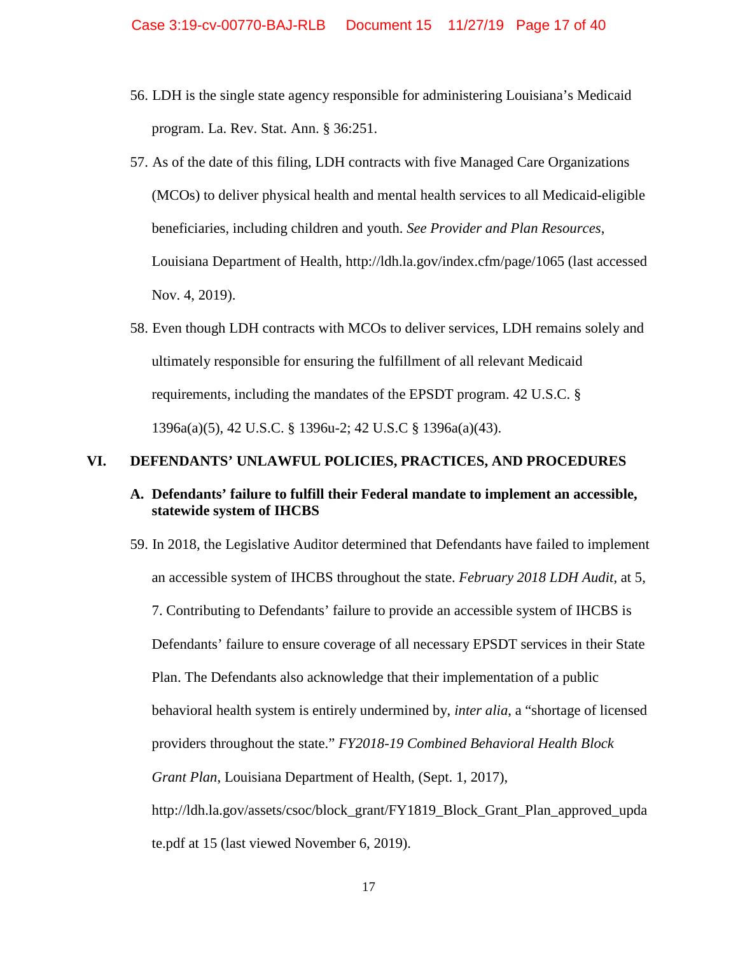- 56. LDH is the single state agency responsible for administering Louisiana's Medicaid program. La. Rev. Stat. Ann. § 36:251.
- 57. As of the date of this filing, LDH contracts with five Managed Care Organizations (MCOs) to deliver physical health and mental health services to all Medicaid-eligible beneficiaries, including children and youth. *See Provider and Plan Resources*, Louisiana Department of Health,<http://ldh.la.gov/index.cfm/page/1065> (last accessed Nov. 4, 2019).
- 58. Even though LDH contracts with MCOs to deliver services, LDH remains solely and ultimately responsible for ensuring the fulfillment of all relevant Medicaid requirements, including the mandates of the EPSDT program. 42 U.S.C. § 1396a(a)(5), 42 U.S.C. § 1396u-2; 42 U.S.C § 1396a(a)(43).

## **VI. DEFENDANTS' UNLAWFUL POLICIES, PRACTICES, AND PROCEDURES**

# **A. Defendants' failure to fulfill their Federal mandate to implement an accessible, statewide system of IHCBS**

59. In 2018, the Legislative Auditor determined that Defendants have failed to implement an accessible system of IHCBS throughout the state. *February 2018 LDH Audit*, at 5, 7. Contributing to Defendants' failure to provide an accessible system of IHCBS is Defendants' failure to ensure coverage of all necessary EPSDT services in their State Plan. The Defendants also acknowledge that their implementation of a public behavioral health system is entirely undermined by, *inter alia*, a "shortage of licensed providers throughout the state." *FY2018-19 Combined Behavioral Health Block Grant Plan*, Louisiana Department of Health, (Sept. 1, 2017), [http://ldh.la.gov/assets/csoc/block\\_grant/FY1819\\_Block\\_Grant\\_Plan\\_approved\\_upda](http://ldh.la.gov/assets/csoc/block_grant/FY1819_Block_Grant_Plan_approved_update.pdf) [te.pdf](http://ldh.la.gov/assets/csoc/block_grant/FY1819_Block_Grant_Plan_approved_update.pdf) at 15 (last viewed November 6, 2019).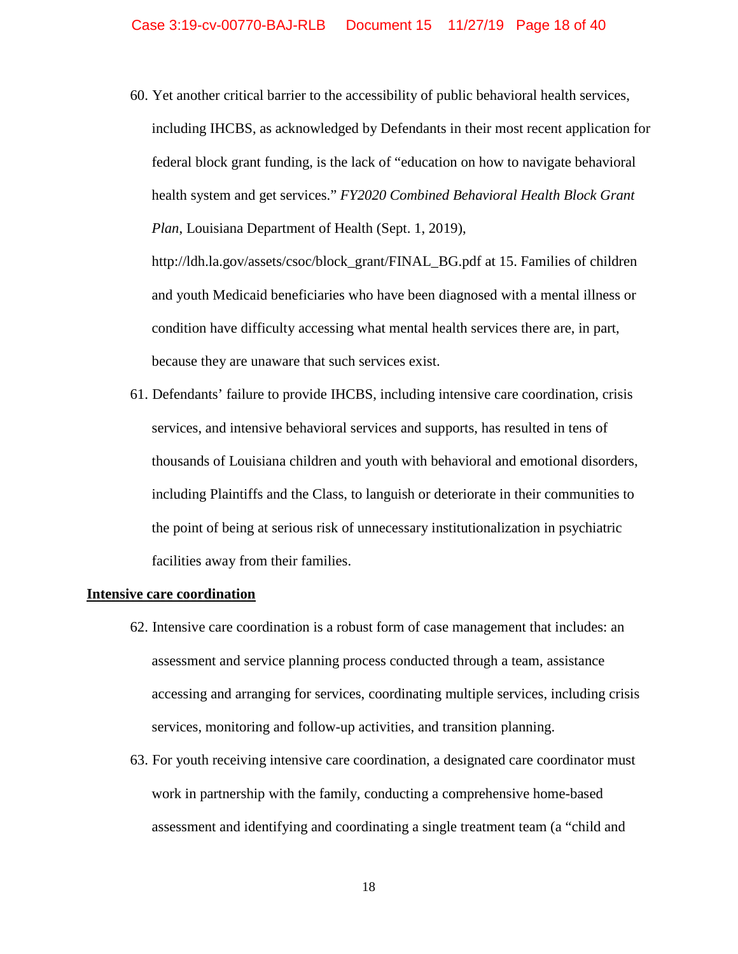60. Yet another critical barrier to the accessibility of public behavioral health services, including IHCBS, as acknowledged by Defendants in their most recent application for federal block grant funding, is the lack of "education on how to navigate behavioral health system and get services." *FY2020 Combined Behavioral Health Block Grant Plan*, Louisiana Department of Health (Sept. 1, 2019),

[http://ldh.la.gov/assets/csoc/block\\_grant/FINAL\\_BG.pdf](http://ldh.la.gov/assets/csoc/block_grant/FINAL_BG.pdf) at 15. Families of children and youth Medicaid beneficiaries who have been diagnosed with a mental illness or condition have difficulty accessing what mental health services there are, in part, because they are unaware that such services exist.

61. Defendants' failure to provide IHCBS, including intensive care coordination, crisis services, and intensive behavioral services and supports, has resulted in tens of thousands of Louisiana children and youth with behavioral and emotional disorders, including Plaintiffs and the Class, to languish or deteriorate in their communities to the point of being at serious risk of unnecessary institutionalization in psychiatric facilities away from their families.

#### **Intensive care coordination**

- 62. Intensive care coordination is a robust form of case management that includes: an assessment and service planning process conducted through a team, assistance accessing and arranging for services, coordinating multiple services, including crisis services, monitoring and follow-up activities, and transition planning.
- 63. For youth receiving intensive care coordination, a designated care coordinator must work in partnership with the family, conducting a comprehensive home-based assessment and identifying and coordinating a single treatment team (a "child and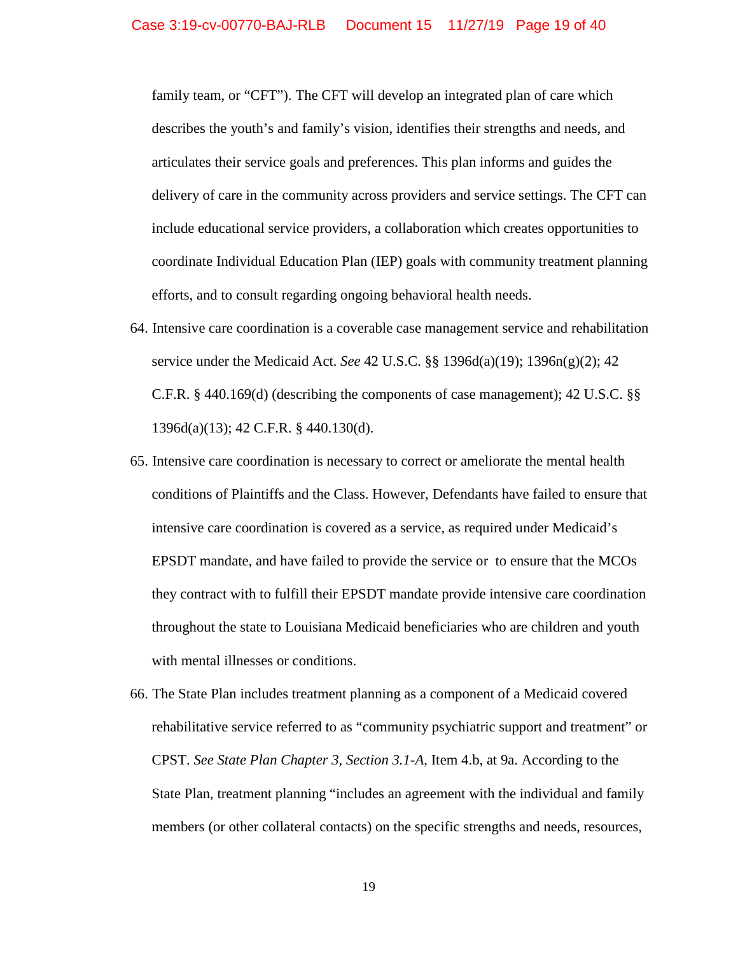family team, or "CFT"). The CFT will develop an integrated plan of care which describes the youth's and family's vision, identifies their strengths and needs, and articulates their service goals and preferences. This plan informs and guides the delivery of care in the community across providers and service settings. The CFT can include educational service providers, a collaboration which creates opportunities to coordinate Individual Education Plan (IEP) goals with community treatment planning efforts, and to consult regarding ongoing behavioral health needs.

- 64. Intensive care coordination is a coverable case management service and rehabilitation service under the Medicaid Act. *See* 42 U.S.C. §§ 1396d(a)(19); 1396n(g)(2); 42 C.F.R. § 440.169(d) (describing the components of case management); 42 U.S.C. §§ 1396d(a)(13); 42 C.F.R. § 440.130(d).
- 65. Intensive care coordination is necessary to correct or ameliorate the mental health conditions of Plaintiffs and the Class. However, Defendants have failed to ensure that intensive care coordination is covered as a service, as required under Medicaid's EPSDT mandate, and have failed to provide the service or to ensure that the MCOs they contract with to fulfill their EPSDT mandate provide intensive care coordination throughout the state to Louisiana Medicaid beneficiaries who are children and youth with mental illnesses or conditions.
- 66. The State Plan includes treatment planning as a component of a Medicaid covered rehabilitative service referred to as "community psychiatric support and treatment" or CPST. *See State Plan Chapter 3, Section 3.1-A*, Item 4.b, at 9a. According to the State Plan, treatment planning "includes an agreement with the individual and family members (or other collateral contacts) on the specific strengths and needs, resources,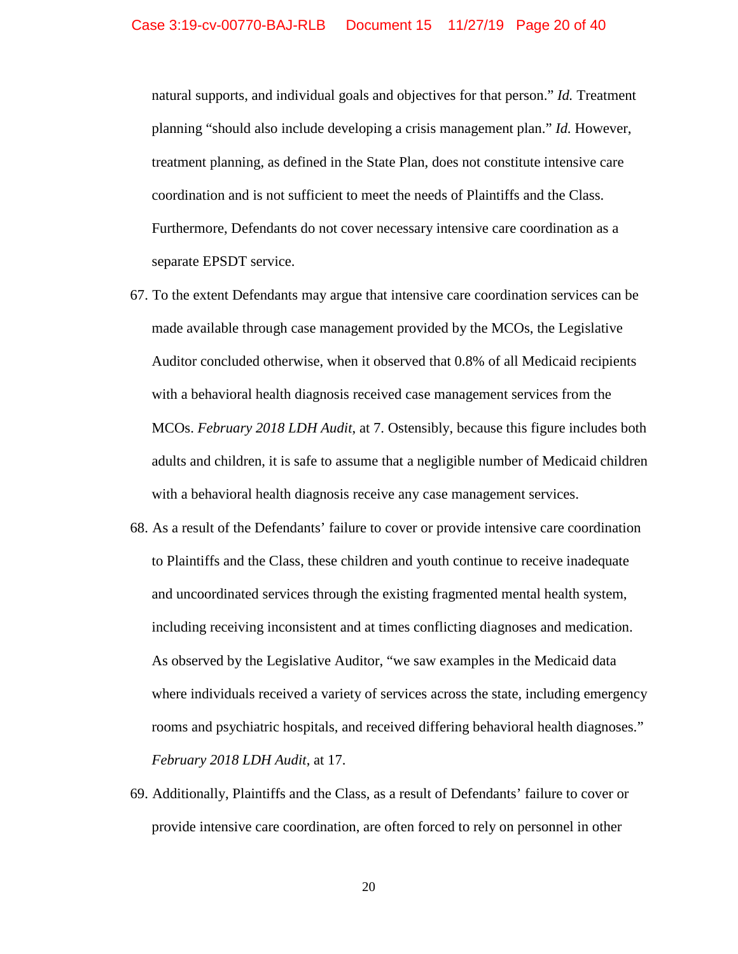natural supports, and individual goals and objectives for that person." *Id.* Treatment planning "should also include developing a crisis management plan." *Id.* However, treatment planning, as defined in the State Plan, does not constitute intensive care coordination and is not sufficient to meet the needs of Plaintiffs and the Class. Furthermore, Defendants do not cover necessary intensive care coordination as a separate EPSDT service.

- 67. To the extent Defendants may argue that intensive care coordination services can be made available through case management provided by the MCOs, the Legislative Auditor concluded otherwise, when it observed that 0.8% of all Medicaid recipients with a behavioral health diagnosis received case management services from the MCOs. *February 2018 LDH Audit*, at 7. Ostensibly, because this figure includes both adults and children, it is safe to assume that a negligible number of Medicaid children with a behavioral health diagnosis receive any case management services.
- 68. As a result of the Defendants' failure to cover or provide intensive care coordination to Plaintiffs and the Class, these children and youth continue to receive inadequate and uncoordinated services through the existing fragmented mental health system, including receiving inconsistent and at times conflicting diagnoses and medication. As observed by the Legislative Auditor, "we saw examples in the Medicaid data where individuals received a variety of services across the state, including emergency rooms and psychiatric hospitals, and received differing behavioral health diagnoses." *February 2018 LDH Audit*, at 17.
- 69. Additionally, Plaintiffs and the Class, as a result of Defendants' failure to cover or provide intensive care coordination, are often forced to rely on personnel in other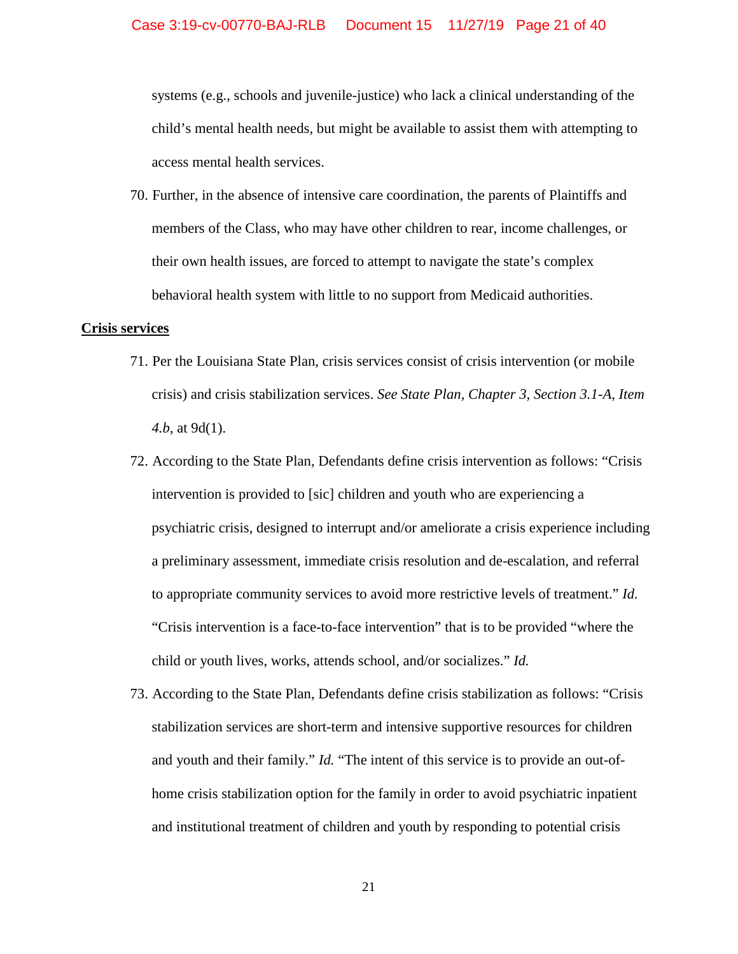systems (e.g., schools and juvenile-justice) who lack a clinical understanding of the child's mental health needs, but might be available to assist them with attempting to access mental health services.

70. Further, in the absence of intensive care coordination, the parents of Plaintiffs and members of the Class, who may have other children to rear, income challenges, or their own health issues, are forced to attempt to navigate the state's complex behavioral health system with little to no support from Medicaid authorities.

#### **Crisis services**

- 71. Per the Louisiana State Plan, crisis services consist of crisis intervention (or mobile crisis) and crisis stabilization services. *See State Plan, Chapter 3, Section 3.1-A*, *Item 4.b*, at 9d(1).
- 72. According to the State Plan, Defendants define crisis intervention as follows: "Crisis intervention is provided to [sic] children and youth who are experiencing a psychiatric crisis, designed to interrupt and/or ameliorate a crisis experience including a preliminary assessment, immediate crisis resolution and de-escalation, and referral to appropriate community services to avoid more restrictive levels of treatment." *Id.* "Crisis intervention is a face-to-face intervention" that is to be provided "where the child or youth lives, works, attends school, and/or socializes." *Id.*
- 73. According to the State Plan, Defendants define crisis stabilization as follows: "Crisis stabilization services are short-term and intensive supportive resources for children and youth and their family." *Id.* "The intent of this service is to provide an out-ofhome crisis stabilization option for the family in order to avoid psychiatric inpatient and institutional treatment of children and youth by responding to potential crisis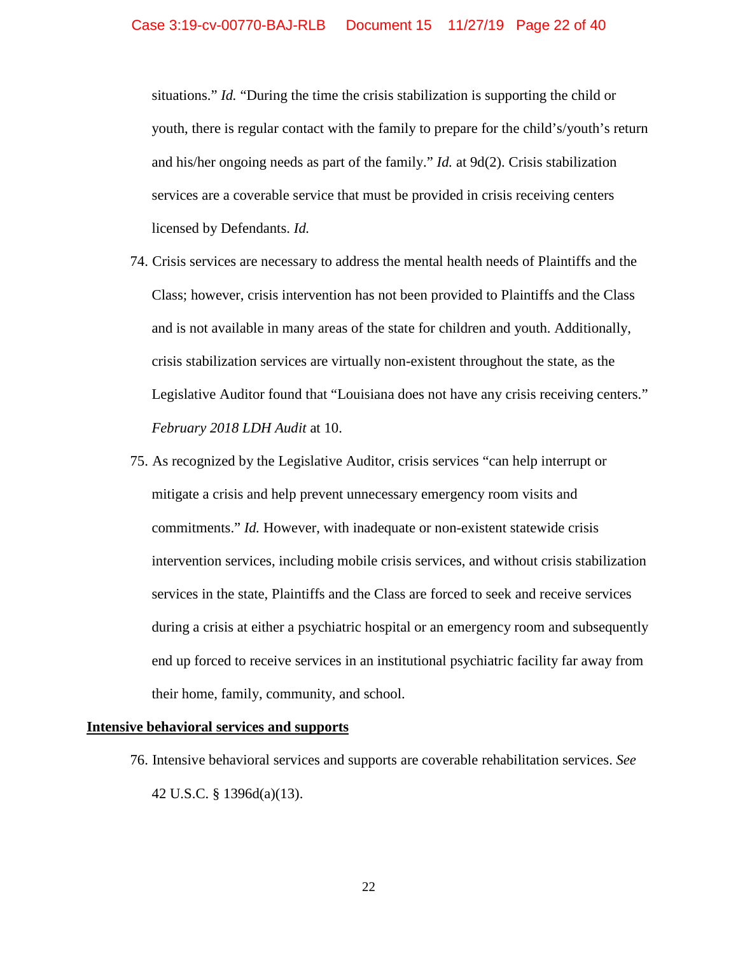situations." *Id.* "During the time the crisis stabilization is supporting the child or youth, there is regular contact with the family to prepare for the child's/youth's return and his/her ongoing needs as part of the family." *Id.* at 9d(2). Crisis stabilization services are a coverable service that must be provided in crisis receiving centers licensed by Defendants. *Id.* 

- 74. Crisis services are necessary to address the mental health needs of Plaintiffs and the Class; however, crisis intervention has not been provided to Plaintiffs and the Class and is not available in many areas of the state for children and youth. Additionally, crisis stabilization services are virtually non-existent throughout the state, as the Legislative Auditor found that "Louisiana does not have any crisis receiving centers." *February 2018 LDH Audit* at 10.
- 75. As recognized by the Legislative Auditor, crisis services "can help interrupt or mitigate a crisis and help prevent unnecessary emergency room visits and commitments." *Id.* However, with inadequate or non-existent statewide crisis intervention services, including mobile crisis services, and without crisis stabilization services in the state, Plaintiffs and the Class are forced to seek and receive services during a crisis at either a psychiatric hospital or an emergency room and subsequently end up forced to receive services in an institutional psychiatric facility far away from their home, family, community, and school.

## **Intensive behavioral services and supports**

76. Intensive behavioral services and supports are coverable rehabilitation services. *See*  42 U.S.C. § 1396d(a)(13).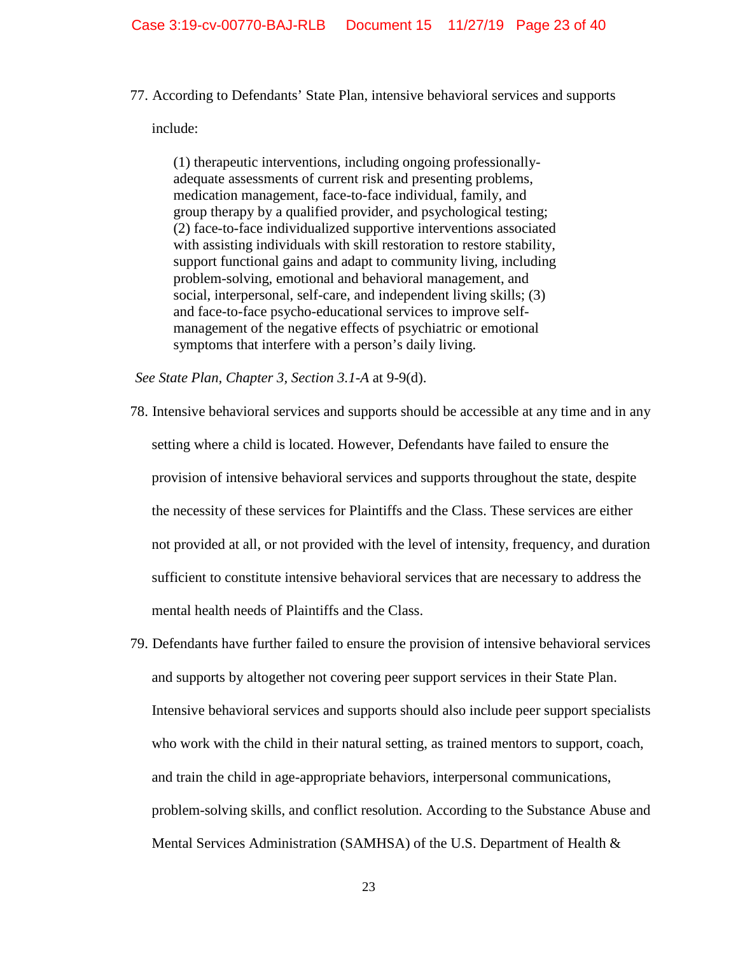77. According to Defendants' State Plan, intensive behavioral services and supports

include:

(1) therapeutic interventions, including ongoing professionallyadequate assessments of current risk and presenting problems, medication management, face-to-face individual, family, and group therapy by a qualified provider, and psychological testing; (2) face-to-face individualized supportive interventions associated with assisting individuals with skill restoration to restore stability, support functional gains and adapt to community living, including problem-solving, emotional and behavioral management, and social, interpersonal, self-care, and independent living skills; (3) and face-to-face psycho-educational services to improve selfmanagement of the negative effects of psychiatric or emotional symptoms that interfere with a person's daily living.

 *See State Plan, Chapter 3, Section 3.1-A* at 9-9(d).

- 78. Intensive behavioral services and supports should be accessible at any time and in any setting where a child is located. However, Defendants have failed to ensure the provision of intensive behavioral services and supports throughout the state, despite the necessity of these services for Plaintiffs and the Class. These services are either not provided at all, or not provided with the level of intensity, frequency, and duration sufficient to constitute intensive behavioral services that are necessary to address the mental health needs of Plaintiffs and the Class.
- 79. Defendants have further failed to ensure the provision of intensive behavioral services and supports by altogether not covering peer support services in their State Plan. Intensive behavioral services and supports should also include peer support specialists who work with the child in their natural setting, as trained mentors to support, coach, and train the child in age-appropriate behaviors, interpersonal communications, problem-solving skills, and conflict resolution. According to the Substance Abuse and Mental Services Administration (SAMHSA) of the U.S. Department of Health &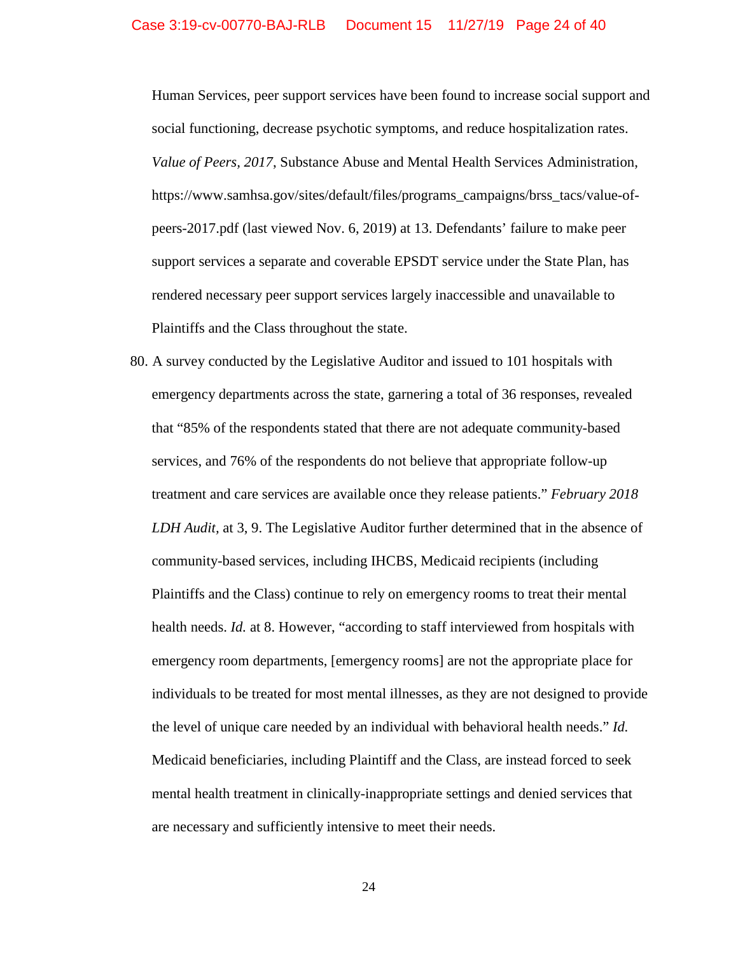Human Services, peer support services have been found to increase social support and social functioning, decrease psychotic symptoms, and reduce hospitalization rates. *Value of Peers, 2017*, Substance Abuse and Mental Health Services Administration, [https://www.samhsa.gov/sites/default/files/programs\\_campaigns/brss\\_tacs/value-of](https://www.samhsa.gov/sites/default/files/programs_campaigns/brss_tacs/value-of-peers-2017.pdf)[peers-2017.pdf](https://www.samhsa.gov/sites/default/files/programs_campaigns/brss_tacs/value-of-peers-2017.pdf) (last viewed Nov. 6, 2019) at 13. Defendants' failure to make peer support services a separate and coverable EPSDT service under the State Plan, has rendered necessary peer support services largely inaccessible and unavailable to Plaintiffs and the Class throughout the state.

80. A survey conducted by the Legislative Auditor and issued to 101 hospitals with emergency departments across the state, garnering a total of 36 responses, revealed that "85% of the respondents stated that there are not adequate community-based services, and 76% of the respondents do not believe that appropriate follow-up treatment and care services are available once they release patients." *February 2018 LDH Audit,* at 3, 9. The Legislative Auditor further determined that in the absence of community-based services, including IHCBS, Medicaid recipients (including Plaintiffs and the Class) continue to rely on emergency rooms to treat their mental health needs. *Id.* at 8. However, "according to staff interviewed from hospitals with emergency room departments, [emergency rooms] are not the appropriate place for individuals to be treated for most mental illnesses, as they are not designed to provide the level of unique care needed by an individual with behavioral health needs." *Id.*  Medicaid beneficiaries, including Plaintiff and the Class, are instead forced to seek mental health treatment in clinically-inappropriate settings and denied services that are necessary and sufficiently intensive to meet their needs.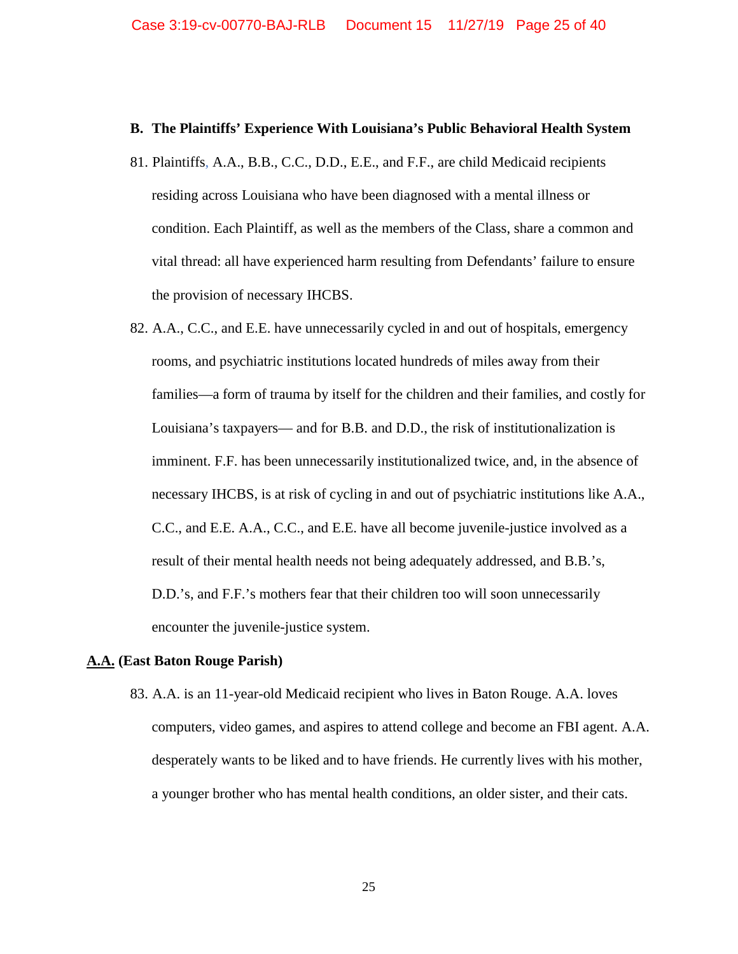#### **B. The Plaintiffs' Experience With Louisiana's Public Behavioral Health System**

- 81. Plaintiffs, A.A., B.B., C.C., D.D., E.E., and F.F., are child Medicaid recipients residing across Louisiana who have been diagnosed with a mental illness or condition. Each Plaintiff, as well as the members of the Class, share a common and vital thread: all have experienced harm resulting from Defendants' failure to ensure the provision of necessary IHCBS.
- 82. A.A., C.C., and E.E. have unnecessarily cycled in and out of hospitals, emergency rooms, and psychiatric institutions located hundreds of miles away from their families—a form of trauma by itself for the children and their families, and costly for Louisiana's taxpayers— and for B.B. and D.D., the risk of institutionalization is imminent. F.F. has been unnecessarily institutionalized twice, and, in the absence of necessary IHCBS, is at risk of cycling in and out of psychiatric institutions like A.A., C.C., and E.E. A.A., C.C., and E.E. have all become juvenile-justice involved as a result of their mental health needs not being adequately addressed, and B.B.'s, D.D.'s, and F.F.'s mothers fear that their children too will soon unnecessarily encounter the juvenile-justice system.

#### **A.A. (East Baton Rouge Parish)**

83. A.A. is an 11-year-old Medicaid recipient who lives in Baton Rouge. A.A. loves computers, video games, and aspires to attend college and become an FBI agent. A.A. desperately wants to be liked and to have friends. He currently lives with his mother, a younger brother who has mental health conditions, an older sister, and their cats.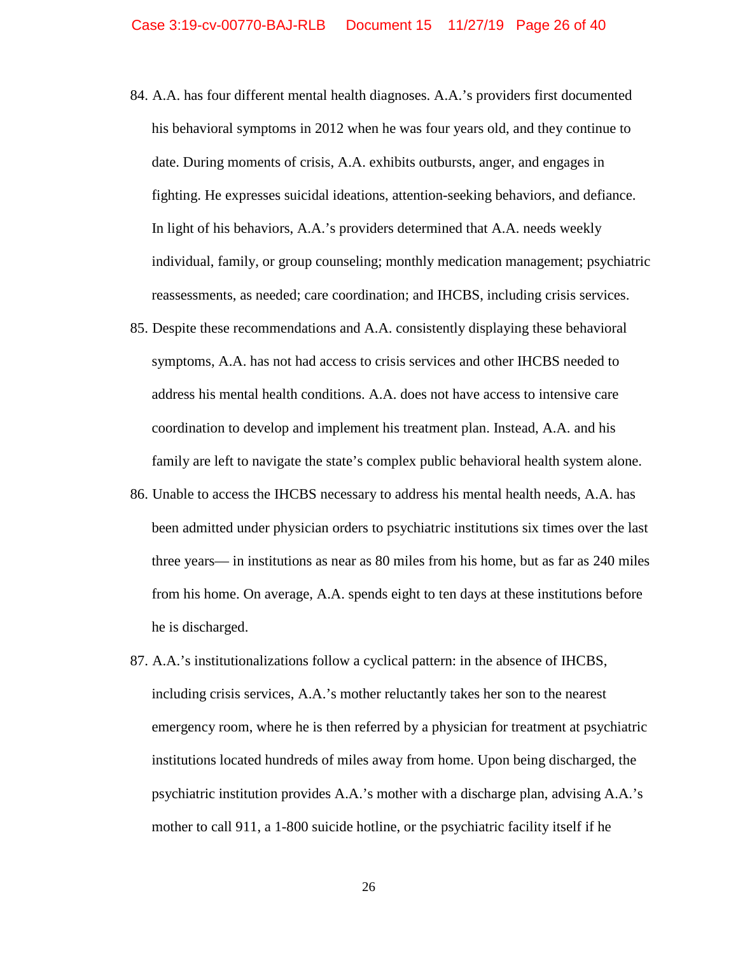- 84. A.A. has four different mental health diagnoses. A.A.'s providers first documented his behavioral symptoms in 2012 when he was four years old, and they continue to date. During moments of crisis, A.A. exhibits outbursts, anger, and engages in fighting. He expresses suicidal ideations, attention-seeking behaviors, and defiance. In light of his behaviors, A.A.'s providers determined that A.A. needs weekly individual, family, or group counseling; monthly medication management; psychiatric reassessments, as needed; care coordination; and IHCBS, including crisis services.
- 85. Despite these recommendations and A.A. consistently displaying these behavioral symptoms, A.A. has not had access to crisis services and other IHCBS needed to address his mental health conditions. A.A. does not have access to intensive care coordination to develop and implement his treatment plan. Instead, A.A. and his family are left to navigate the state's complex public behavioral health system alone.
- 86. Unable to access the IHCBS necessary to address his mental health needs, A.A. has been admitted under physician orders to psychiatric institutions six times over the last three years— in institutions as near as 80 miles from his home, but as far as 240 miles from his home. On average, A.A. spends eight to ten days at these institutions before he is discharged.
- 87. A.A.'s institutionalizations follow a cyclical pattern: in the absence of IHCBS, including crisis services, A.A.'s mother reluctantly takes her son to the nearest emergency room, where he is then referred by a physician for treatment at psychiatric institutions located hundreds of miles away from home. Upon being discharged, the psychiatric institution provides A.A.'s mother with a discharge plan, advising A.A.'s mother to call 911, a 1-800 suicide hotline, or the psychiatric facility itself if he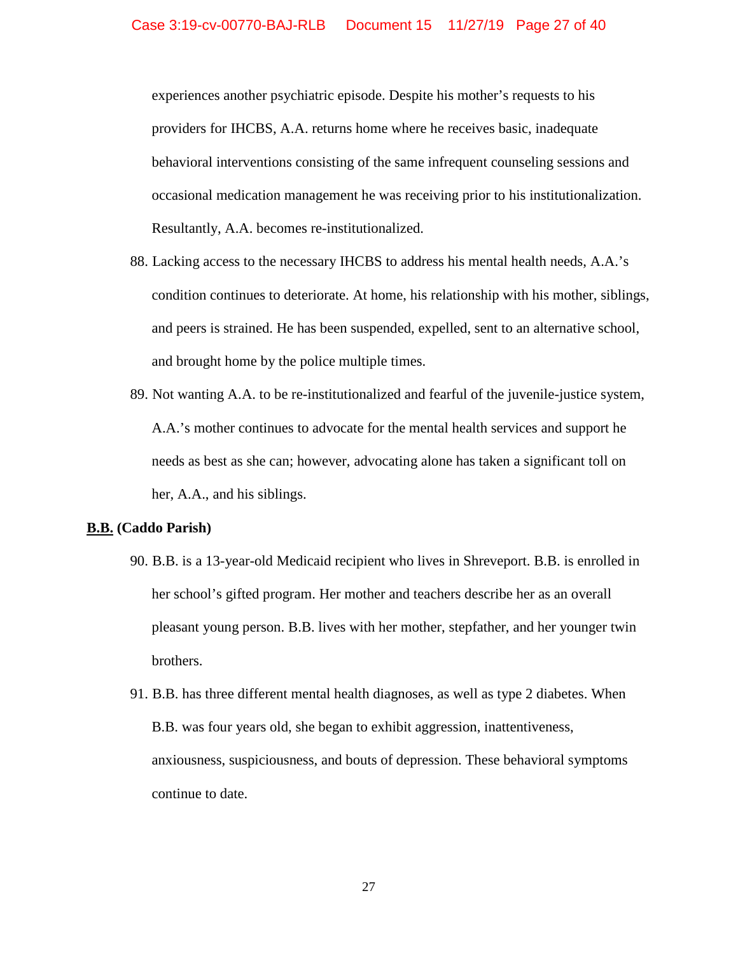experiences another psychiatric episode. Despite his mother's requests to his providers for IHCBS, A.A. returns home where he receives basic, inadequate behavioral interventions consisting of the same infrequent counseling sessions and occasional medication management he was receiving prior to his institutionalization. Resultantly, A.A. becomes re-institutionalized.

- 88. Lacking access to the necessary IHCBS to address his mental health needs, A.A.'s condition continues to deteriorate. At home, his relationship with his mother, siblings, and peers is strained. He has been suspended, expelled, sent to an alternative school, and brought home by the police multiple times.
- 89. Not wanting A.A. to be re-institutionalized and fearful of the juvenile-justice system, A.A.'s mother continues to advocate for the mental health services and support he needs as best as she can; however, advocating alone has taken a significant toll on her, A.A., and his siblings.

#### **B.B. (Caddo Parish)**

- 90. B.B. is a 13-year-old Medicaid recipient who lives in Shreveport. B.B. is enrolled in her school's gifted program. Her mother and teachers describe her as an overall pleasant young person. B.B. lives with her mother, stepfather, and her younger twin brothers.
- 91. B.B. has three different mental health diagnoses, as well as type 2 diabetes. When B.B. was four years old, she began to exhibit aggression, inattentiveness, anxiousness, suspiciousness, and bouts of depression. These behavioral symptoms continue to date.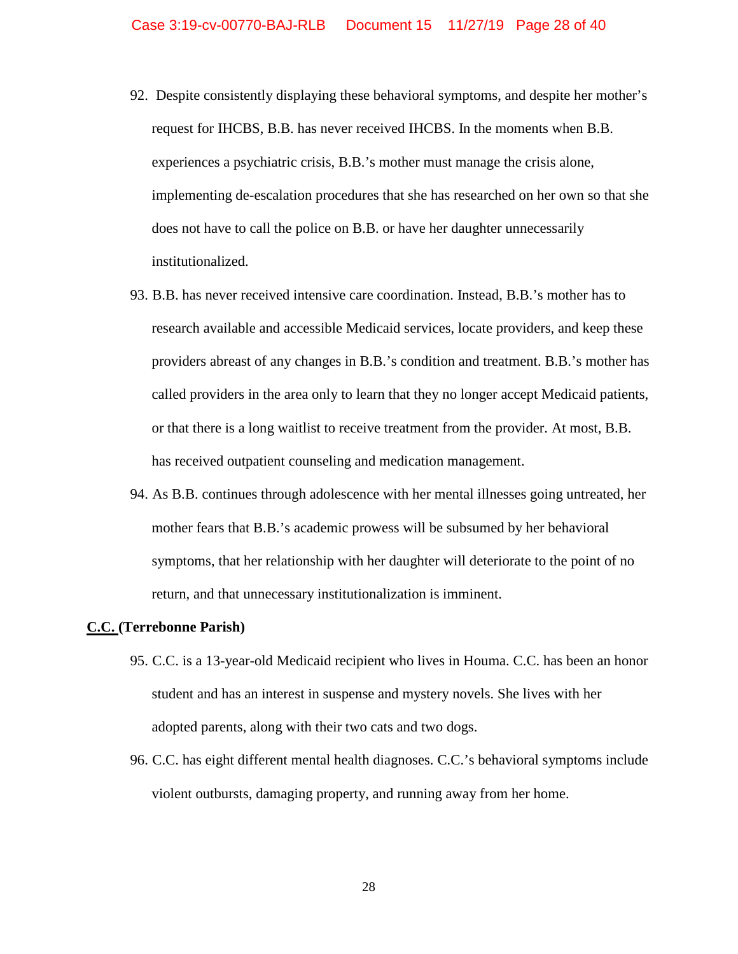- 92. Despite consistently displaying these behavioral symptoms, and despite her mother's request for IHCBS, B.B. has never received IHCBS. In the moments when B.B. experiences a psychiatric crisis, B.B.'s mother must manage the crisis alone, implementing de-escalation procedures that she has researched on her own so that she does not have to call the police on B.B. or have her daughter unnecessarily institutionalized.
- 93. B.B. has never received intensive care coordination. Instead, B.B.'s mother has to research available and accessible Medicaid services, locate providers, and keep these providers abreast of any changes in B.B.'s condition and treatment. B.B.'s mother has called providers in the area only to learn that they no longer accept Medicaid patients, or that there is a long waitlist to receive treatment from the provider. At most, B.B. has received outpatient counseling and medication management.
- 94. As B.B. continues through adolescence with her mental illnesses going untreated, her mother fears that B.B.'s academic prowess will be subsumed by her behavioral symptoms, that her relationship with her daughter will deteriorate to the point of no return, and that unnecessary institutionalization is imminent.

#### **C.C. (Terrebonne Parish)**

- 95. C.C. is a 13-year-old Medicaid recipient who lives in Houma. C.C. has been an honor student and has an interest in suspense and mystery novels. She lives with her adopted parents, along with their two cats and two dogs.
- 96. C.C. has eight different mental health diagnoses. C.C.'s behavioral symptoms include violent outbursts, damaging property, and running away from her home.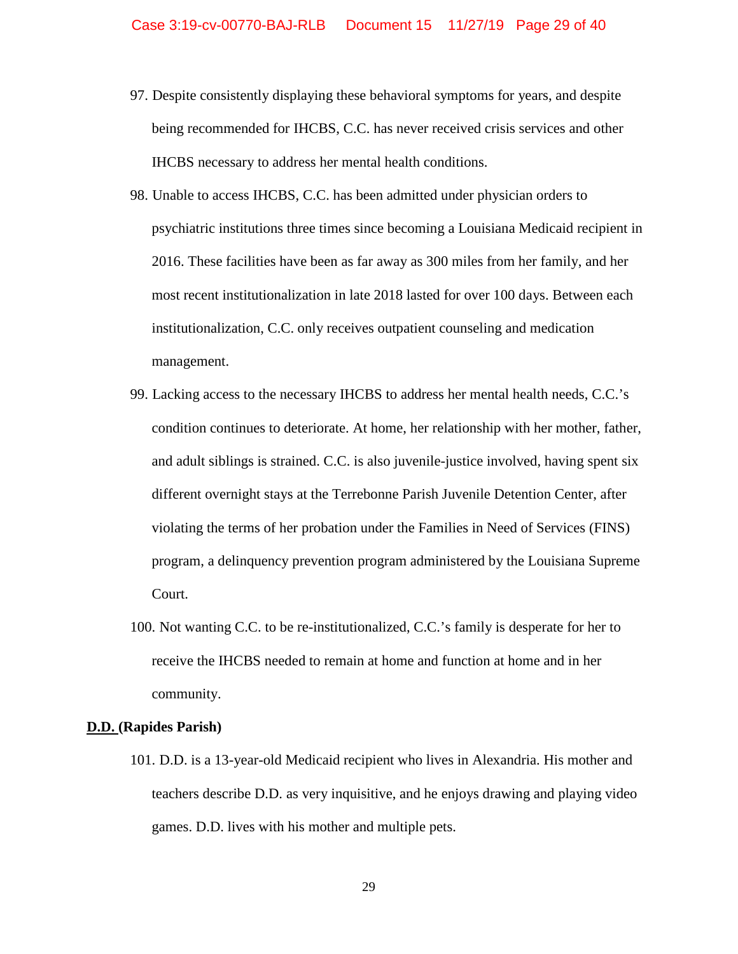- 97. Despite consistently displaying these behavioral symptoms for years, and despite being recommended for IHCBS, C.C. has never received crisis services and other IHCBS necessary to address her mental health conditions.
- 98. Unable to access IHCBS, C.C. has been admitted under physician orders to psychiatric institutions three times since becoming a Louisiana Medicaid recipient in 2016. These facilities have been as far away as 300 miles from her family, and her most recent institutionalization in late 2018 lasted for over 100 days. Between each institutionalization, C.C. only receives outpatient counseling and medication management.
- 99. Lacking access to the necessary IHCBS to address her mental health needs, C.C.'s condition continues to deteriorate. At home, her relationship with her mother, father, and adult siblings is strained. C.C. is also juvenile-justice involved, having spent six different overnight stays at the Terrebonne Parish Juvenile Detention Center, after violating the terms of her probation under the Families in Need of Services (FINS) program, a delinquency prevention program administered by the Louisiana Supreme Court.
- 100. Not wanting C.C. to be re-institutionalized, C.C.'s family is desperate for her to receive the IHCBS needed to remain at home and function at home and in her community.

### **D.D. (Rapides Parish)**

101. D.D. is a 13-year-old Medicaid recipient who lives in Alexandria. His mother and teachers describe D.D. as very inquisitive, and he enjoys drawing and playing video games. D.D. lives with his mother and multiple pets.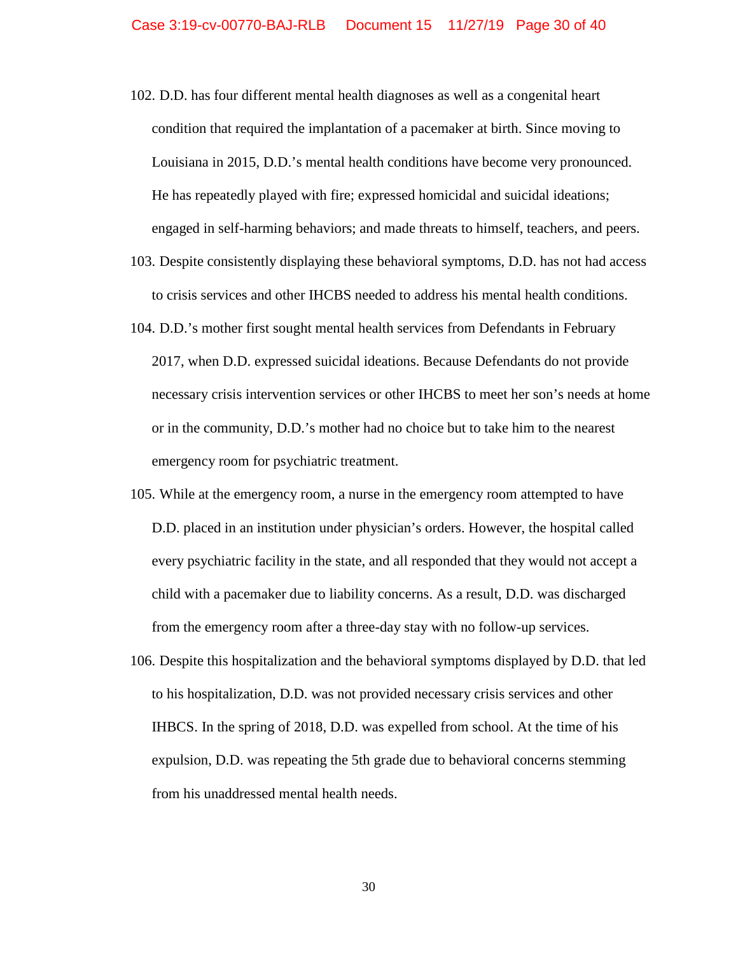- 102. D.D. has four different mental health diagnoses as well as a congenital heart condition that required the implantation of a pacemaker at birth. Since moving to Louisiana in 2015, D.D.'s mental health conditions have become very pronounced. He has repeatedly played with fire; expressed homicidal and suicidal ideations; engaged in self-harming behaviors; and made threats to himself, teachers, and peers.
- 103. Despite consistently displaying these behavioral symptoms, D.D. has not had access to crisis services and other IHCBS needed to address his mental health conditions.
- 104. D.D.'s mother first sought mental health services from Defendants in February 2017, when D.D. expressed suicidal ideations. Because Defendants do not provide necessary crisis intervention services or other IHCBS to meet her son's needs at home or in the community, D.D.'s mother had no choice but to take him to the nearest emergency room for psychiatric treatment.
- 105. While at the emergency room, a nurse in the emergency room attempted to have D.D. placed in an institution under physician's orders. However, the hospital called every psychiatric facility in the state, and all responded that they would not accept a child with a pacemaker due to liability concerns. As a result, D.D. was discharged from the emergency room after a three-day stay with no follow-up services.
- 106. Despite this hospitalization and the behavioral symptoms displayed by D.D. that led to his hospitalization, D.D. was not provided necessary crisis services and other IHBCS. In the spring of 2018, D.D. was expelled from school. At the time of his expulsion, D.D. was repeating the 5th grade due to behavioral concerns stemming from his unaddressed mental health needs.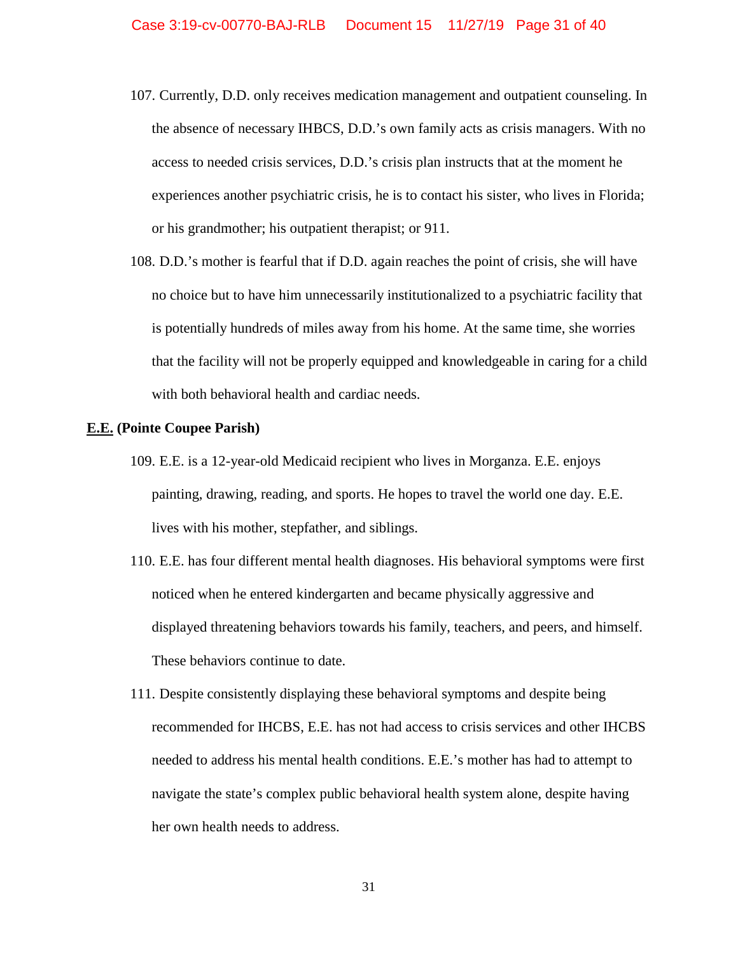- 107. Currently, D.D. only receives medication management and outpatient counseling. In the absence of necessary IHBCS, D.D.'s own family acts as crisis managers. With no access to needed crisis services, D.D.'s crisis plan instructs that at the moment he experiences another psychiatric crisis, he is to contact his sister, who lives in Florida; or his grandmother; his outpatient therapist; or 911.
- 108. D.D.'s mother is fearful that if D.D. again reaches the point of crisis, she will have no choice but to have him unnecessarily institutionalized to a psychiatric facility that is potentially hundreds of miles away from his home. At the same time, she worries that the facility will not be properly equipped and knowledgeable in caring for a child with both behavioral health and cardiac needs.

## **E.E. (Pointe Coupee Parish)**

- 109. E.E. is a 12-year-old Medicaid recipient who lives in Morganza. E.E. enjoys painting, drawing, reading, and sports. He hopes to travel the world one day. E.E. lives with his mother, stepfather, and siblings.
- 110. E.E. has four different mental health diagnoses. His behavioral symptoms were first noticed when he entered kindergarten and became physically aggressive and displayed threatening behaviors towards his family, teachers, and peers, and himself. These behaviors continue to date.
- 111. Despite consistently displaying these behavioral symptoms and despite being recommended for IHCBS, E.E. has not had access to crisis services and other IHCBS needed to address his mental health conditions. E.E.'s mother has had to attempt to navigate the state's complex public behavioral health system alone, despite having her own health needs to address.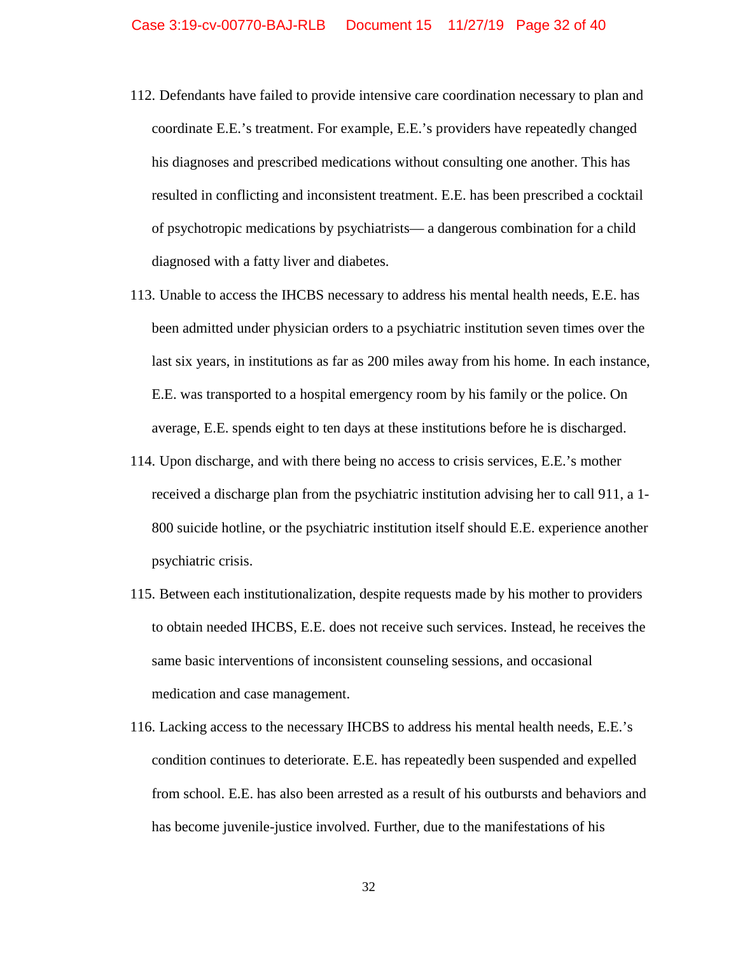- 112. Defendants have failed to provide intensive care coordination necessary to plan and coordinate E.E.'s treatment. For example, E.E.'s providers have repeatedly changed his diagnoses and prescribed medications without consulting one another. This has resulted in conflicting and inconsistent treatment. E.E. has been prescribed a cocktail of psychotropic medications by psychiatrists— a dangerous combination for a child diagnosed with a fatty liver and diabetes.
- 113. Unable to access the IHCBS necessary to address his mental health needs, E.E. has been admitted under physician orders to a psychiatric institution seven times over the last six years, in institutions as far as 200 miles away from his home. In each instance, E.E. was transported to a hospital emergency room by his family or the police. On average, E.E. spends eight to ten days at these institutions before he is discharged.
- 114. Upon discharge, and with there being no access to crisis services, E.E.'s mother received a discharge plan from the psychiatric institution advising her to call 911, a 1- 800 suicide hotline, or the psychiatric institution itself should E.E. experience another psychiatric crisis.
- 115. Between each institutionalization, despite requests made by his mother to providers to obtain needed IHCBS, E.E. does not receive such services. Instead, he receives the same basic interventions of inconsistent counseling sessions, and occasional medication and case management.
- 116. Lacking access to the necessary IHCBS to address his mental health needs, E.E.'s condition continues to deteriorate. E.E. has repeatedly been suspended and expelled from school. E.E. has also been arrested as a result of his outbursts and behaviors and has become juvenile-justice involved. Further, due to the manifestations of his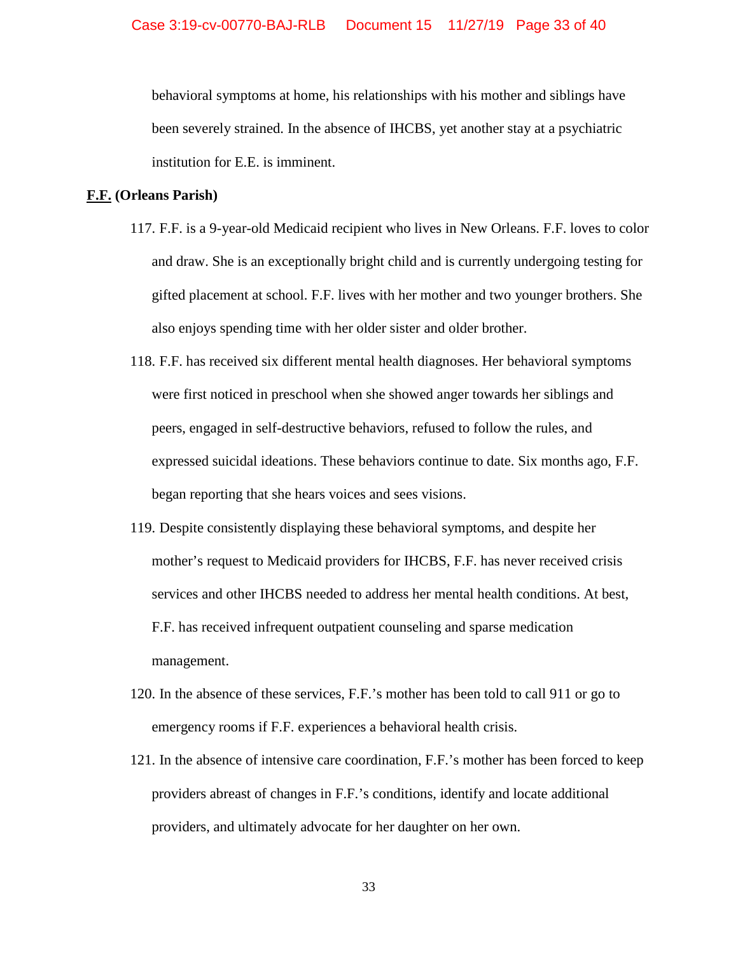behavioral symptoms at home, his relationships with his mother and siblings have been severely strained. In the absence of IHCBS, yet another stay at a psychiatric institution for E.E. is imminent.

## **F.F. (Orleans Parish)**

- 117. F.F. is a 9-year-old Medicaid recipient who lives in New Orleans. F.F. loves to color and draw. She is an exceptionally bright child and is currently undergoing testing for gifted placement at school. F.F. lives with her mother and two younger brothers. She also enjoys spending time with her older sister and older brother.
- 118. F.F. has received six different mental health diagnoses. Her behavioral symptoms were first noticed in preschool when she showed anger towards her siblings and peers, engaged in self-destructive behaviors, refused to follow the rules, and expressed suicidal ideations. These behaviors continue to date. Six months ago, F.F. began reporting that she hears voices and sees visions.
- 119. Despite consistently displaying these behavioral symptoms, and despite her mother's request to Medicaid providers for IHCBS, F.F. has never received crisis services and other IHCBS needed to address her mental health conditions. At best, F.F. has received infrequent outpatient counseling and sparse medication management.
- 120. In the absence of these services, F.F.'s mother has been told to call 911 or go to emergency rooms if F.F. experiences a behavioral health crisis.
- 121. In the absence of intensive care coordination, F.F.'s mother has been forced to keep providers abreast of changes in F.F.'s conditions, identify and locate additional providers, and ultimately advocate for her daughter on her own.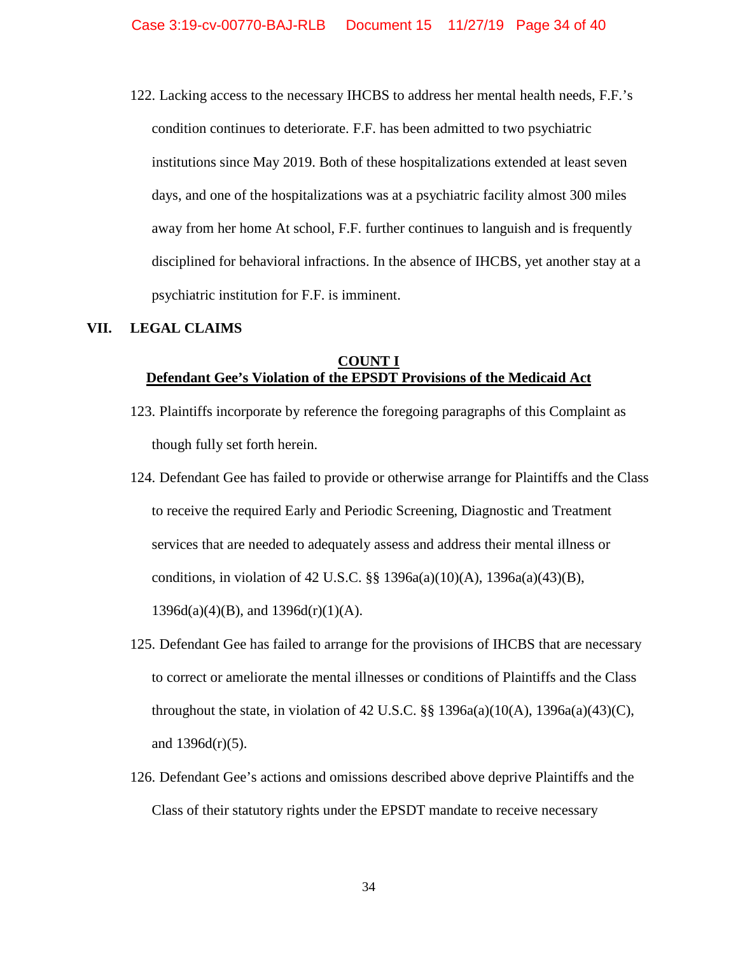122. Lacking access to the necessary IHCBS to address her mental health needs, F.F.'s condition continues to deteriorate. F.F. has been admitted to two psychiatric institutions since May 2019. Both of these hospitalizations extended at least seven days, and one of the hospitalizations was at a psychiatric facility almost 300 miles away from her home At school, F.F. further continues to languish and is frequently disciplined for behavioral infractions. In the absence of IHCBS, yet another stay at a psychiatric institution for F.F. is imminent.

## **VII. LEGAL CLAIMS**

## **COUNT I Defendant Gee's Violation of the EPSDT Provisions of the Medicaid Act**

- 123. Plaintiffs incorporate by reference the foregoing paragraphs of this Complaint as though fully set forth herein.
- 124. Defendant Gee has failed to provide or otherwise arrange for Plaintiffs and the Class to receive the required Early and Periodic Screening, Diagnostic and Treatment services that are needed to adequately assess and address their mental illness or conditions, in violation of 42 U.S.C. §§ 1396a(a)(10)(A), 1396a(a)(43)(B),  $1396d(a)(4)(B)$ , and  $1396d(r)(1)(A)$ .
- 125. Defendant Gee has failed to arrange for the provisions of IHCBS that are necessary to correct or ameliorate the mental illnesses or conditions of Plaintiffs and the Class throughout the state, in violation of 42 U.S.C.  $\S$  1396a(a)(10(A), 1396a(a)(43)(C), and  $1396d(r)(5)$ .
- 126. Defendant Gee's actions and omissions described above deprive Plaintiffs and the Class of their statutory rights under the EPSDT mandate to receive necessary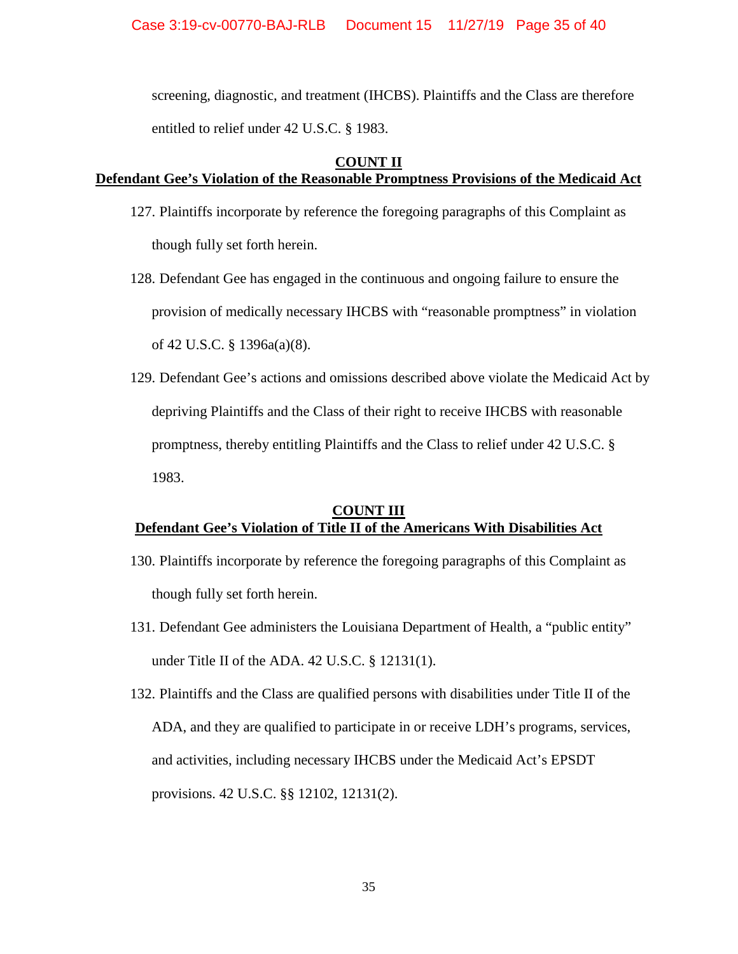screening, diagnostic, and treatment (IHCBS). Plaintiffs and the Class are therefore entitled to relief under 42 U.S.C. § 1983.

## **COUNT II**

# **Defendant Gee's Violation of the Reasonable Promptness Provisions of the Medicaid Act**

- 127. Plaintiffs incorporate by reference the foregoing paragraphs of this Complaint as though fully set forth herein.
- 128. Defendant Gee has engaged in the continuous and ongoing failure to ensure the provision of medically necessary IHCBS with "reasonable promptness" in violation of 42 U.S.C. § 1396a(a)(8).
- 129. Defendant Gee's actions and omissions described above violate the Medicaid Act by depriving Plaintiffs and the Class of their right to receive IHCBS with reasonable promptness, thereby entitling Plaintiffs and the Class to relief under 42 U.S.C. § 1983.

# **COUNT III Defendant Gee's Violation of Title II of the Americans With Disabilities Act**

- 130. Plaintiffs incorporate by reference the foregoing paragraphs of this Complaint as though fully set forth herein.
- 131. Defendant Gee administers the Louisiana Department of Health, a "public entity" under Title II of the ADA. 42 U.S.C. § 12131(1).
- 132. Plaintiffs and the Class are qualified persons with disabilities under Title II of the ADA, and they are qualified to participate in or receive LDH's programs, services, and activities, including necessary IHCBS under the Medicaid Act's EPSDT provisions. 42 U.S.C. §§ 12102, 12131(2).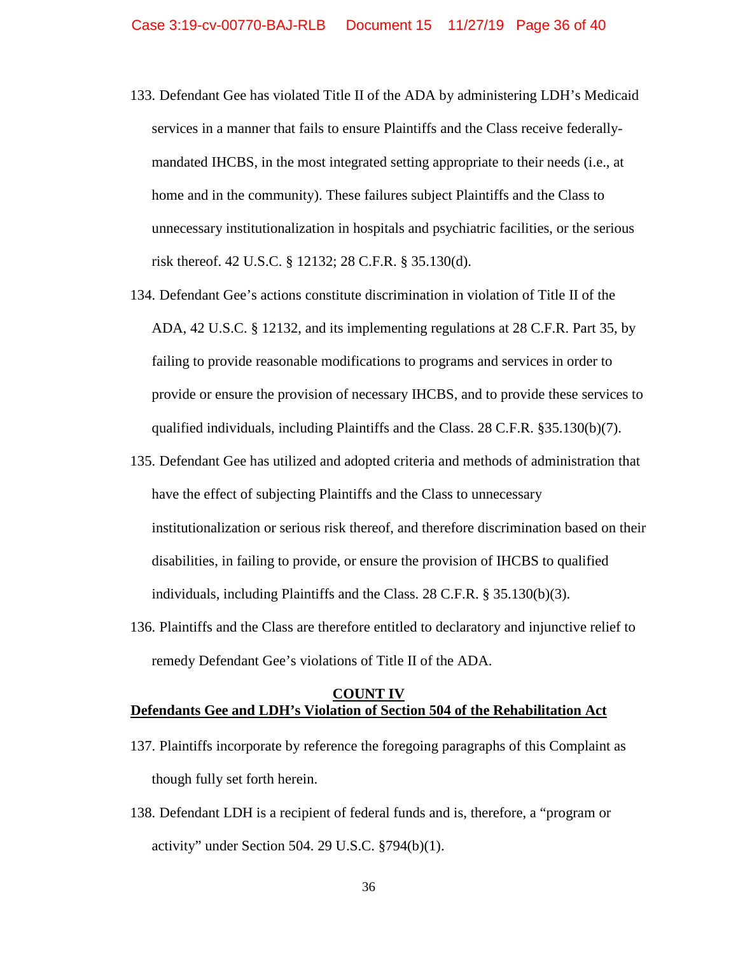- 133. Defendant Gee has violated Title II of the ADA by administering LDH's Medicaid services in a manner that fails to ensure Plaintiffs and the Class receive federallymandated IHCBS, in the most integrated setting appropriate to their needs (i.e., at home and in the community). These failures subject Plaintiffs and the Class to unnecessary institutionalization in hospitals and psychiatric facilities, or the serious risk thereof. 42 U.S.C. § 12132; 28 C.F.R. § 35.130(d).
- 134. Defendant Gee's actions constitute discrimination in violation of Title II of the ADA, 42 U.S.C. § 12132, and its implementing regulations at 28 C.F.R. Part 35, by failing to provide reasonable modifications to programs and services in order to provide or ensure the provision of necessary IHCBS, and to provide these services to qualified individuals, including Plaintiffs and the Class. 28 C.F.R. §35.130(b)(7).
- 135. Defendant Gee has utilized and adopted criteria and methods of administration that have the effect of subjecting Plaintiffs and the Class to unnecessary institutionalization or serious risk thereof, and therefore discrimination based on their disabilities, in failing to provide, or ensure the provision of IHCBS to qualified individuals, including Plaintiffs and the Class. 28 C.F.R. § 35.130(b)(3).
- 136. Plaintiffs and the Class are therefore entitled to declaratory and injunctive relief to remedy Defendant Gee's violations of Title II of the ADA.

## **COUNT IV Defendants Gee and LDH's Violation of Section 504 of the Rehabilitation Act**

- 137. Plaintiffs incorporate by reference the foregoing paragraphs of this Complaint as though fully set forth herein.
- 138. Defendant LDH is a recipient of federal funds and is, therefore, a "program or activity" under Section 504. 29 U.S.C. §794(b)(1).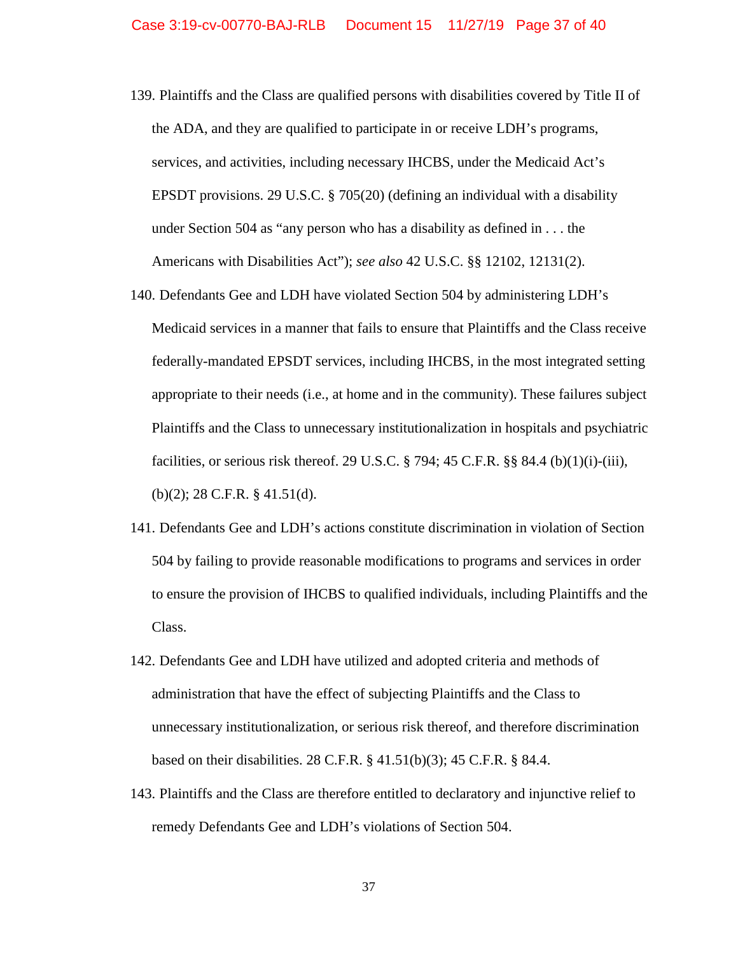- 139. Plaintiffs and the Class are qualified persons with disabilities covered by Title II of the ADA, and they are qualified to participate in or receive LDH's programs, services, and activities, including necessary IHCBS, under the Medicaid Act's EPSDT provisions. 29 U.S.C. § 705(20) (defining an individual with a disability under Section 504 as "any person who has a disability as defined in . . . the Americans with Disabilities Act"); *see also* 42 U.S.C. §§ 12102, 12131(2).
- 140. Defendants Gee and LDH have violated Section 504 by administering LDH's Medicaid services in a manner that fails to ensure that Plaintiffs and the Class receive federally-mandated EPSDT services, including IHCBS, in the most integrated setting appropriate to their needs (i.e., at home and in the community). These failures subject Plaintiffs and the Class to unnecessary institutionalization in hospitals and psychiatric facilities, or serious risk thereof. 29 U.S.C. § 794; 45 C.F.R. §§ 84.4 (b)(1)(i)-(iii), (b)(2); 28 C.F.R. § 41.51(d).
- 141. Defendants Gee and LDH's actions constitute discrimination in violation of Section 504 by failing to provide reasonable modifications to programs and services in order to ensure the provision of IHCBS to qualified individuals, including Plaintiffs and the Class.
- 142. Defendants Gee and LDH have utilized and adopted criteria and methods of administration that have the effect of subjecting Plaintiffs and the Class to unnecessary institutionalization, or serious risk thereof, and therefore discrimination based on their disabilities. 28 C.F.R. § 41.51(b)(3); 45 C.F.R. § 84.4.
- 143. Plaintiffs and the Class are therefore entitled to declaratory and injunctive relief to remedy Defendants Gee and LDH's violations of Section 504.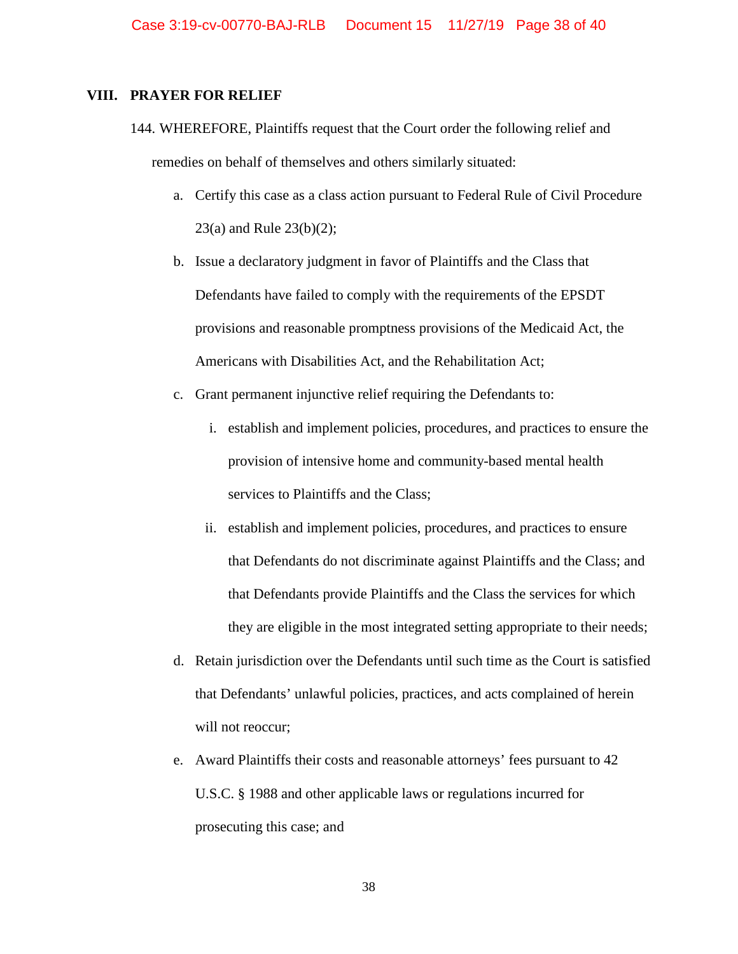### **VIII. PRAYER FOR RELIEF**

- 144. WHEREFORE, Plaintiffs request that the Court order the following relief and remedies on behalf of themselves and others similarly situated:
	- a. Certify this case as a class action pursuant to Federal Rule of Civil Procedure 23(a) and Rule 23(b)(2);
	- b. Issue a declaratory judgment in favor of Plaintiffs and the Class that Defendants have failed to comply with the requirements of the EPSDT provisions and reasonable promptness provisions of the Medicaid Act, the Americans with Disabilities Act, and the Rehabilitation Act;
	- c. Grant permanent injunctive relief requiring the Defendants to:
		- i. establish and implement policies, procedures, and practices to ensure the provision of intensive home and community-based mental health services to Plaintiffs and the Class;
		- ii. establish and implement policies, procedures, and practices to ensure that Defendants do not discriminate against Plaintiffs and the Class; and that Defendants provide Plaintiffs and the Class the services for which they are eligible in the most integrated setting appropriate to their needs;
	- d. Retain jurisdiction over the Defendants until such time as the Court is satisfied that Defendants' unlawful policies, practices, and acts complained of herein will not reoccur;
	- e. Award Plaintiffs their costs and reasonable attorneys' fees pursuant to 42 U.S.C. § 1988 and other applicable laws or regulations incurred for prosecuting this case; and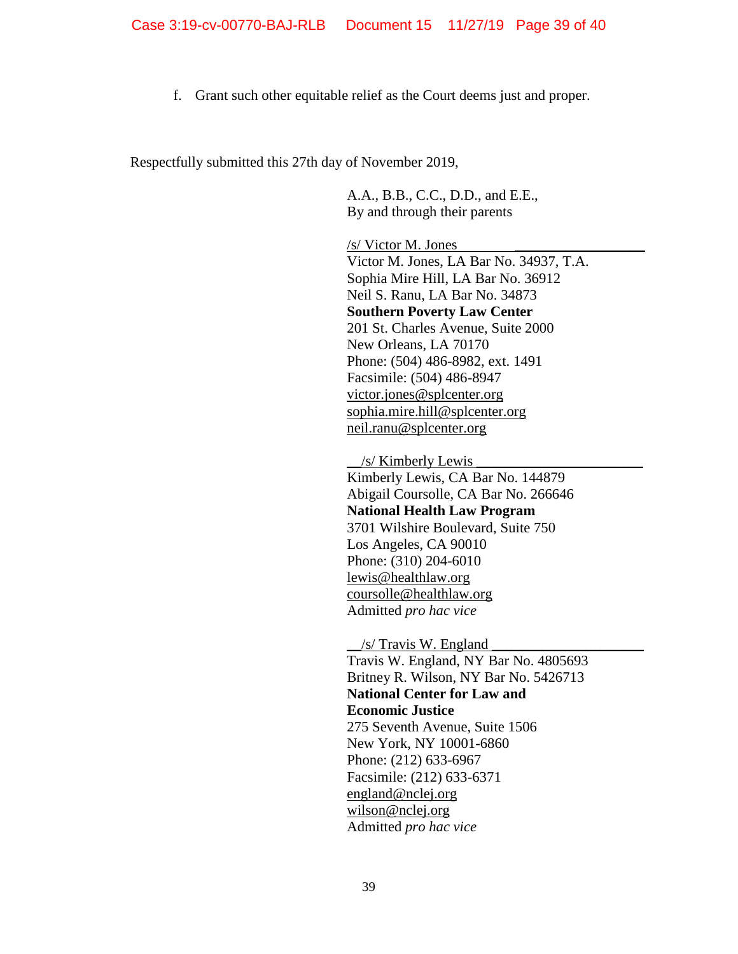f. Grant such other equitable relief as the Court deems just and proper.

Respectfully submitted this 27th day of November 2019,

A.A., B.B., C.C., D.D., and E.E., By and through their parents

/s/ Victor M. Jones

Victor M. Jones, LA Bar No. 34937, T.A. Sophia Mire Hill, LA Bar No. 36912 Neil S. Ranu, LA Bar No. 34873 **Southern Poverty Law Center** 201 St. Charles Avenue, Suite 2000 New Orleans, LA 70170 Phone: (504) 486-8982, ext. 1491 Facsimile: (504) 486-8947 [victor.jones@splcenter.org](mailto:victor.jones@splcenter.org) [sophia.mire.hill@splcenter.org](mailto:sophia.mire.hill@splcenter.org) [neil.ranu@splcenter.org](mailto:neil.ranu@splcenter.org)

 $/s/$  Kimberly Lewis Kimberly Lewis, CA Bar No. 144879 Abigail Coursolle, CA Bar No. 266646 **National Health Law Program** 3701 Wilshire Boulevard, Suite 750 Los Angeles, CA 90010 Phone: (310) 204-6010 [lewis@healthlaw.org](mailto:lewis@healthlaw.org) [coursolle@healthlaw.org](mailto:coursolle@healthlaw.org) Admitted *pro hac vice*

 $/s/$  Travis W. England Travis W. England, NY Bar No. 4805693 Britney R. Wilson, NY Bar No. 5426713 **National Center for Law and Economic Justice** 275 Seventh Avenue, Suite 1506 New York, NY 10001-6860 Phone: (212) 633-6967 Facsimile: (212) 633-6371 [england@nclej.org](mailto:england@nclej.org) [wilson@nclej.org](mailto:wilson@nclej.org) Admitted *pro hac vice*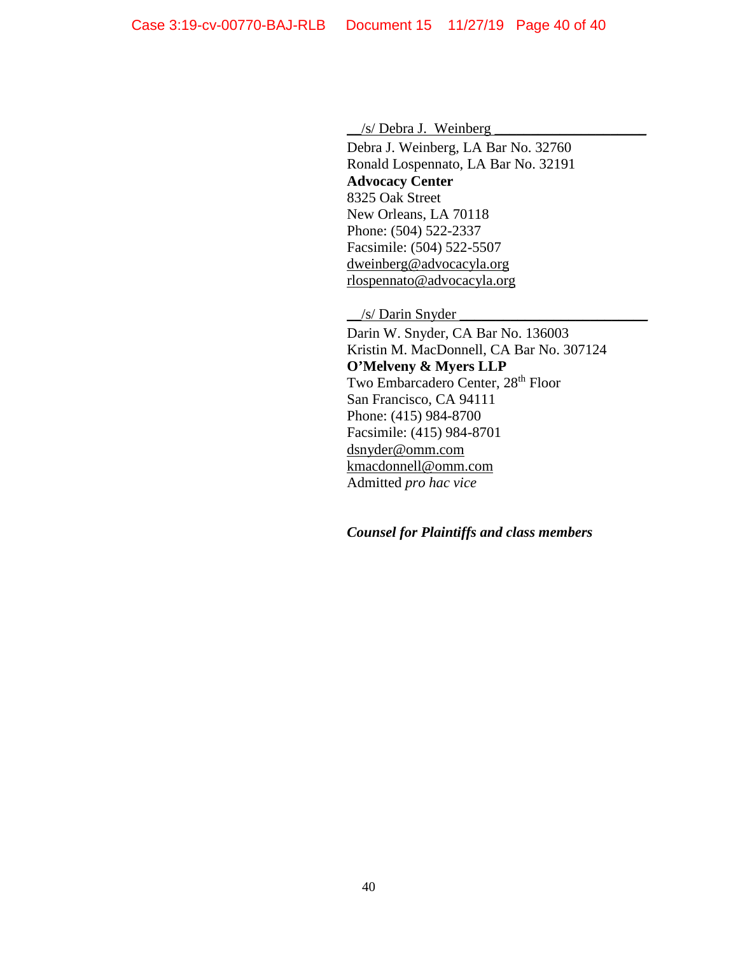$\angle$ /s/ Debra J. Weinberg

Debra J. Weinberg, LA Bar No. 32760 Ronald Lospennato, LA Bar No. 32191 **Advocacy Center**  8325 Oak Street New Orleans, LA 70118 Phone: (504) 522-2337 Facsimile: (504) 522-5507 [dweinberg@advocacyla.org](mailto:dweinberg@advocacyla.org) [rlospennato@advocacyla.org](mailto:rlospennato@advocacyla.org)

 $\frac{1}{s}$  Darin Snyder

Darin W. Snyder, CA Bar No. 136003 Kristin M. MacDonnell, CA Bar No. 307124 **O'Melveny & Myers LLP** Two Embarcadero Center, 28<sup>th</sup> Floor San Francisco, CA 94111 Phone: (415) 984-8700 Facsimile: (415) 984-8701 [dsnyder@omm.com](mailto:dsnyder@omm.com) [kmacdonnell@omm.com](mailto:kmacdonnell@omm.com) Admitted *pro hac vice*

*Counsel for Plaintiffs and class members*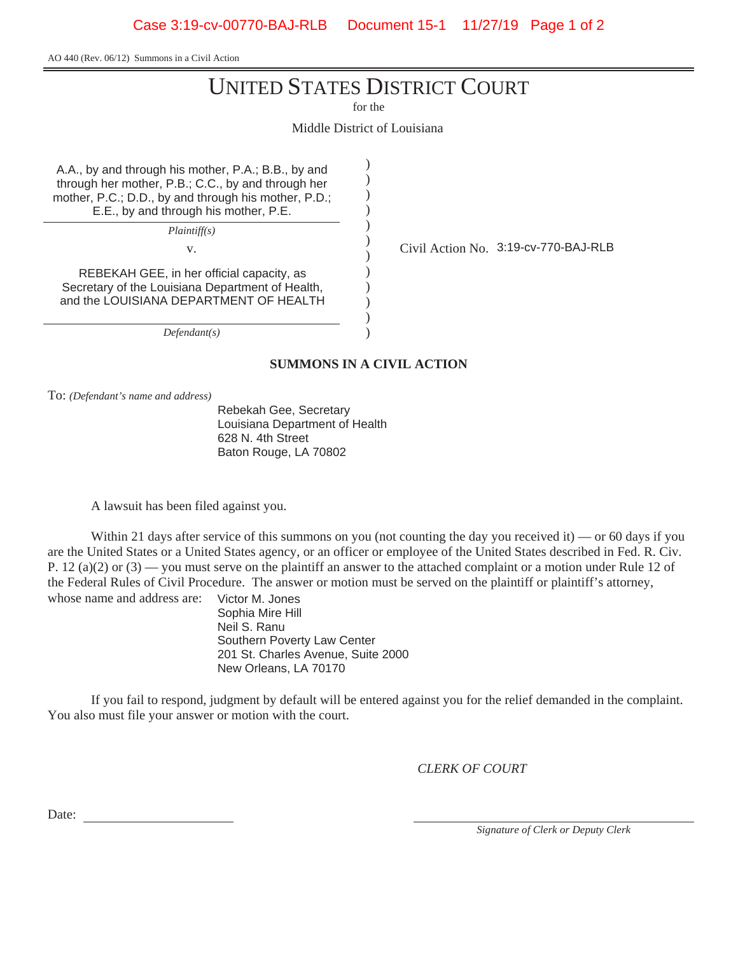Case 3:19-cv-00770-BAJ-RLB Document 15-1 11/27/19 Page 1 of 2

AO 440 (Rev. 06/12) Summons in a Civil Action

# UNITED STATES DISTRICT COURT

for the

Middle District of Louisiana

) ) ) ) ) ) ) ) ) ) ) )

A.A., by and through his mother, P.A.; B.B., by and through her mother, P.B.; C.C., by and through her mother, P.C.; D.D., by and through his mother, P.D.; E.E., by and through his mother, P.E.

*Plaintiff(s)*

REBEKAH GEE, in her official capacity, as Secretary of the Louisiana Department of Health, and the LOUISIANA DEPARTMENT OF HEALTH

*Defendant(s)*

v. Civil Action No. 3:19-cv-770-BAJ-RLB

**SUMMONS IN A CIVIL ACTION**

To: *(Defendant's name and address)*

Rebekah Gee, Secretary Louisiana Department of Health 628 N. 4th Street Baton Rouge, LA 70802

A lawsuit has been filed against you.

Within 21 days after service of this summons on you (not counting the day you received it) — or 60 days if you are the United States or a United States agency, or an officer or employee of the United States described in Fed. R. Civ. P. 12 (a)(2) or  $(3)$  — you must serve on the plaintiff an answer to the attached complaint or a motion under Rule 12 of the Federal Rules of Civil Procedure. The answer or motion must be served on the plaintiff or plaintiff's attorney, whose name and address are: Victor M. Jones

Sophia Mire Hill Neil S. Ranu Southern Poverty Law Center 201 St. Charles Avenue, Suite 2000 New Orleans, LA 70170

If you fail to respond, judgment by default will be entered against you for the relief demanded in the complaint. You also must file your answer or motion with the court.

*CLERK OF COURT*

Date:

*Signature of Clerk or Deputy Clerk*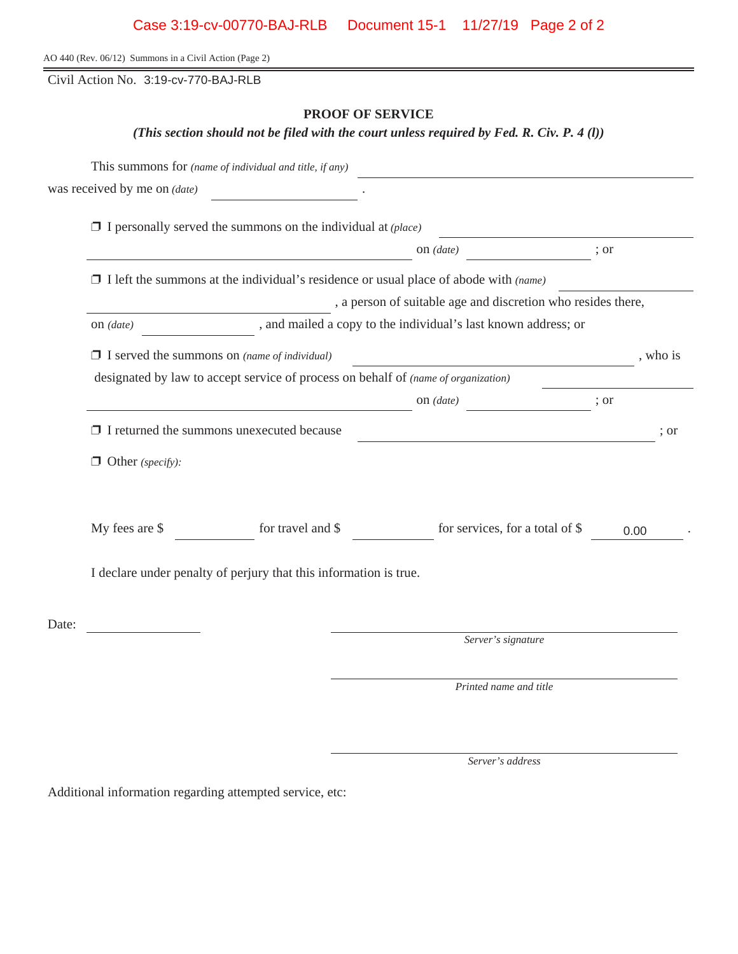| Case 3:19-cv-00770-BAJ-RLB  Document 15-1  11/27/19  Page 2 of 2 |  |  |  |
|------------------------------------------------------------------|--|--|--|
|------------------------------------------------------------------|--|--|--|

AO 440 (Rev. 06/12) Summons in a Civil Action (Page 2)

Civil Action No. 3:19-cv-770-BAJ-RLB

# **PROOF OF SERVICE**

*(This section should not be filed with the court unless required by Fed. R. Civ. P. 4 (l))*

|       | This summons for (name of individual and title, if any)                            |                   |                                                                                                                       |      |                  |
|-------|------------------------------------------------------------------------------------|-------------------|-----------------------------------------------------------------------------------------------------------------------|------|------------------|
|       | was received by me on $(date)$                                                     |                   |                                                                                                                       |      |                  |
|       | $\Box$ I personally served the summons on the individual at (place)                |                   |                                                                                                                       |      |                  |
|       |                                                                                    |                   | on $(data)$                                                                                                           | ; or |                  |
|       |                                                                                    |                   | $\Box$ I left the summons at the individual's residence or usual place of abode with (name)                           |      |                  |
|       | , a person of suitable age and discretion who resides there,                       |                   |                                                                                                                       |      |                  |
|       | , and mailed a copy to the individual's last known address; or<br>$on$ (date)      |                   |                                                                                                                       |      |                  |
|       | $\Box$ I served the summons on (name of individual)                                |                   | <u> 1989 - Johann Barn, amerikan bestemanns og forskellige og det forskellige og det forskellige og det forskelli</u> |      | , who is         |
|       | designated by law to accept service of process on behalf of (name of organization) |                   |                                                                                                                       |      |                  |
|       |                                                                                    |                   | on $(data)$<br>$\frac{1}{2}$ or                                                                                       |      |                  |
|       | $\Box$ I returned the summons unexecuted because                                   |                   | <u> 1980 - Johann Barn, fransk politik (d. 1980)</u>                                                                  |      | $\frac{1}{2}$ or |
|       | $\Box$ Other (specify):                                                            |                   |                                                                                                                       |      |                  |
|       | My fees are \$                                                                     | for travel and \$ | for services, for a total of \$                                                                                       |      | 0.00             |
|       | I declare under penalty of perjury that this information is true.                  |                   |                                                                                                                       |      |                  |
| Date: |                                                                                    |                   |                                                                                                                       |      |                  |
|       |                                                                                    |                   | Server's signature                                                                                                    |      |                  |
|       |                                                                                    |                   | Printed name and title                                                                                                |      |                  |

*Server's address*

Additional information regarding attempted service, etc: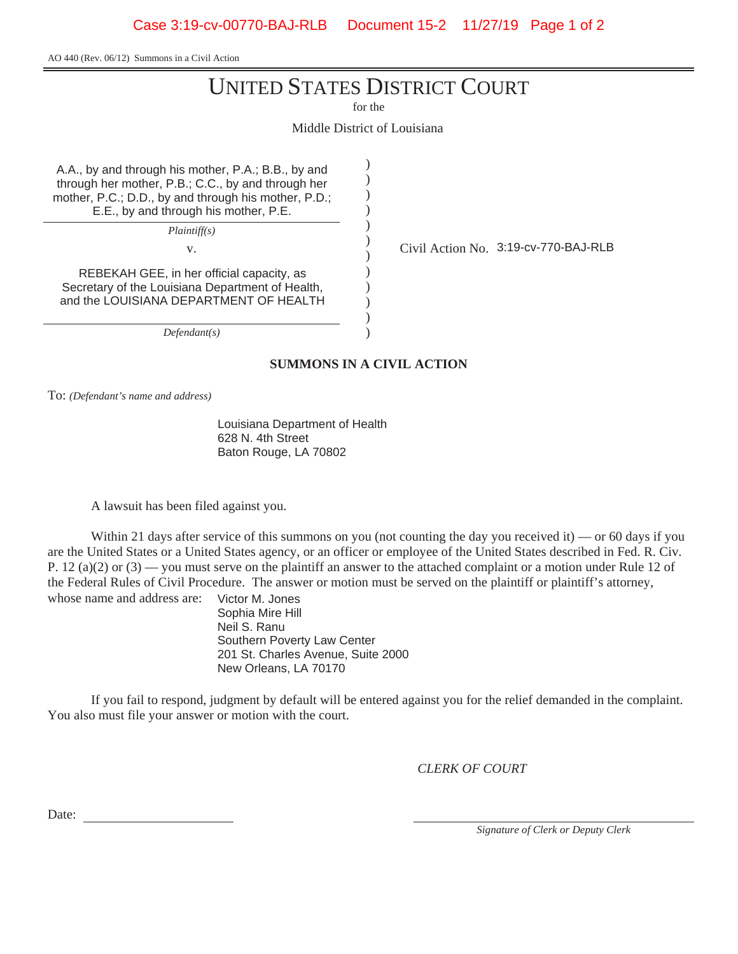Case 3:19-cv-00770-BAJ-RLB Document 15-2 11/27/19 Page 1 of 2

AO 440 (Rev. 06/12) Summons in a Civil Action

# UNITED STATES DISTRICT COURT

for the

Middle District of Louisiana

) ) ) ) ) ) ) ) ) ) ) )

A.A., by and through his mother, P.A.; B.B., by and through her mother, P.B.; C.C., by and through her mother, P.C.; D.D., by and through his mother, P.D.; E.E., by and through his mother, P.E.

*Plaintiff(s)*

REBEKAH GEE, in her official capacity, as Secretary of the Louisiana Department of Health, and the LOUISIANA DEPARTMENT OF HEALTH

*Defendant(s)*

# v. Civil Action No. 3:19-cv-770-BAJ-RLB

**SUMMONS IN A CIVIL ACTION**

To: *(Defendant's name and address)*

Louisiana Department of Health 628 N. 4th Street Baton Rouge, LA 70802

A lawsuit has been filed against you.

Within 21 days after service of this summons on you (not counting the day you received it) — or 60 days if you are the United States or a United States agency, or an officer or employee of the United States described in Fed. R. Civ. P. 12 (a)(2) or  $(3)$  — you must serve on the plaintiff an answer to the attached complaint or a motion under Rule 12 of the Federal Rules of Civil Procedure. The answer or motion must be served on the plaintiff or plaintiff's attorney, whose name and address are: Victor M. Jones

Sophia Mire Hill Neil S. Ranu Southern Poverty Law Center 201 St. Charles Avenue, Suite 2000 New Orleans, LA 70170

If you fail to respond, judgment by default will be entered against you for the relief demanded in the complaint. You also must file your answer or motion with the court.

*CLERK OF COURT*

Date:

*Signature of Clerk or Deputy Clerk*